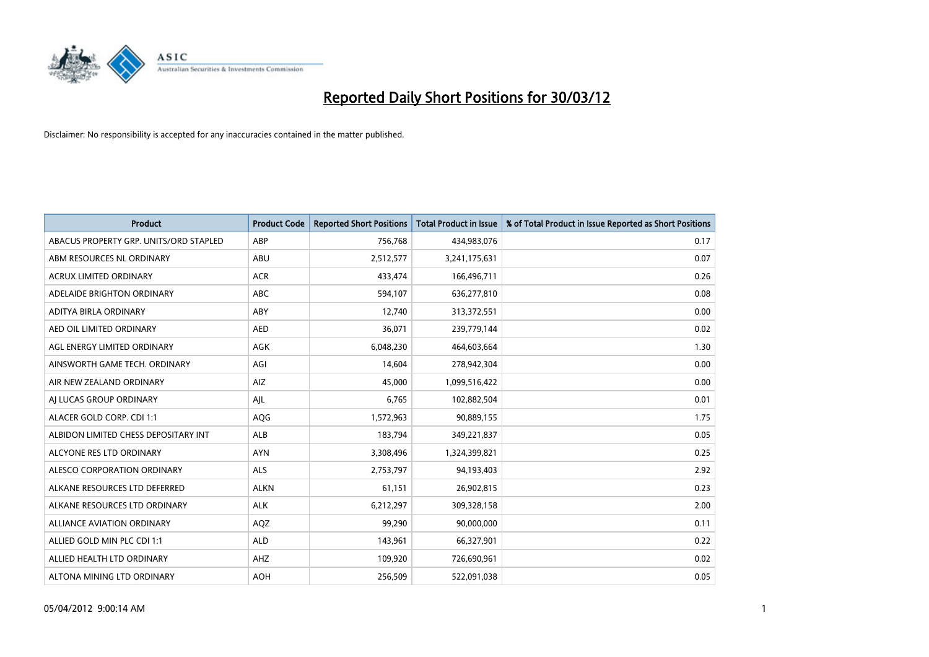

| <b>Product</b>                         | <b>Product Code</b> | <b>Reported Short Positions</b> | <b>Total Product in Issue</b> | % of Total Product in Issue Reported as Short Positions |
|----------------------------------------|---------------------|---------------------------------|-------------------------------|---------------------------------------------------------|
| ABACUS PROPERTY GRP. UNITS/ORD STAPLED | ABP                 | 756,768                         | 434,983,076                   | 0.17                                                    |
| ABM RESOURCES NL ORDINARY              | ABU                 | 2,512,577                       | 3,241,175,631                 | 0.07                                                    |
| <b>ACRUX LIMITED ORDINARY</b>          | <b>ACR</b>          | 433,474                         | 166,496,711                   | 0.26                                                    |
| ADELAIDE BRIGHTON ORDINARY             | <b>ABC</b>          | 594,107                         | 636,277,810                   | 0.08                                                    |
| ADITYA BIRLA ORDINARY                  | ABY                 | 12,740                          | 313,372,551                   | 0.00                                                    |
| AED OIL LIMITED ORDINARY               | <b>AED</b>          | 36,071                          | 239,779,144                   | 0.02                                                    |
| AGL ENERGY LIMITED ORDINARY            | AGK                 | 6,048,230                       | 464,603,664                   | 1.30                                                    |
| AINSWORTH GAME TECH. ORDINARY          | AGI                 | 14,604                          | 278,942,304                   | 0.00                                                    |
| AIR NEW ZEALAND ORDINARY               | AIZ                 | 45,000                          | 1,099,516,422                 | 0.00                                                    |
| AI LUCAS GROUP ORDINARY                | AJL                 | 6,765                           | 102,882,504                   | 0.01                                                    |
| ALACER GOLD CORP. CDI 1:1              | AQG                 | 1,572,963                       | 90,889,155                    | 1.75                                                    |
| ALBIDON LIMITED CHESS DEPOSITARY INT   | ALB                 | 183,794                         | 349,221,837                   | 0.05                                                    |
| ALCYONE RES LTD ORDINARY               | <b>AYN</b>          | 3,308,496                       | 1,324,399,821                 | 0.25                                                    |
| ALESCO CORPORATION ORDINARY            | ALS                 | 2,753,797                       | 94,193,403                    | 2.92                                                    |
| ALKANE RESOURCES LTD DEFERRED          | <b>ALKN</b>         | 61,151                          | 26,902,815                    | 0.23                                                    |
| ALKANE RESOURCES LTD ORDINARY          | <b>ALK</b>          | 6,212,297                       | 309,328,158                   | 2.00                                                    |
| ALLIANCE AVIATION ORDINARY             | AQZ                 | 99,290                          | 90,000,000                    | 0.11                                                    |
| ALLIED GOLD MIN PLC CDI 1:1            | <b>ALD</b>          | 143,961                         | 66,327,901                    | 0.22                                                    |
| ALLIED HEALTH LTD ORDINARY             | AHZ                 | 109,920                         | 726,690,961                   | 0.02                                                    |
| ALTONA MINING LTD ORDINARY             | <b>AOH</b>          | 256,509                         | 522,091,038                   | 0.05                                                    |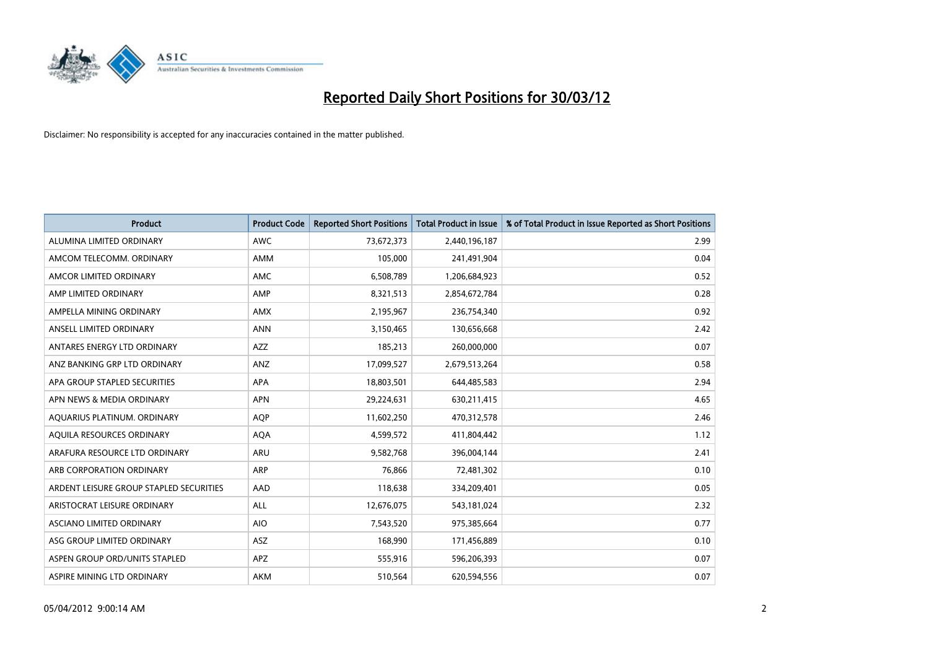

| <b>Product</b>                          | <b>Product Code</b> | <b>Reported Short Positions</b> | <b>Total Product in Issue</b> | % of Total Product in Issue Reported as Short Positions |
|-----------------------------------------|---------------------|---------------------------------|-------------------------------|---------------------------------------------------------|
| ALUMINA LIMITED ORDINARY                | <b>AWC</b>          | 73,672,373                      | 2,440,196,187                 | 2.99                                                    |
| AMCOM TELECOMM. ORDINARY                | AMM                 | 105,000                         | 241,491,904                   | 0.04                                                    |
| AMCOR LIMITED ORDINARY                  | AMC                 | 6,508,789                       | 1,206,684,923                 | 0.52                                                    |
| AMP LIMITED ORDINARY                    | AMP                 | 8,321,513                       | 2,854,672,784                 | 0.28                                                    |
| AMPELLA MINING ORDINARY                 | <b>AMX</b>          | 2,195,967                       | 236,754,340                   | 0.92                                                    |
| ANSELL LIMITED ORDINARY                 | <b>ANN</b>          | 3,150,465                       | 130,656,668                   | 2.42                                                    |
| ANTARES ENERGY LTD ORDINARY             | AZZ                 | 185,213                         | 260,000,000                   | 0.07                                                    |
| ANZ BANKING GRP LTD ORDINARY            | ANZ                 | 17,099,527                      | 2,679,513,264                 | 0.58                                                    |
| APA GROUP STAPLED SECURITIES            | <b>APA</b>          | 18,803,501                      | 644,485,583                   | 2.94                                                    |
| APN NEWS & MEDIA ORDINARY               | <b>APN</b>          | 29,224,631                      | 630,211,415                   | 4.65                                                    |
| AQUARIUS PLATINUM. ORDINARY             | <b>AOP</b>          | 11,602,250                      | 470,312,578                   | 2.46                                                    |
| AQUILA RESOURCES ORDINARY               | <b>AQA</b>          | 4,599,572                       | 411,804,442                   | 1.12                                                    |
| ARAFURA RESOURCE LTD ORDINARY           | ARU                 | 9,582,768                       | 396,004,144                   | 2.41                                                    |
| ARB CORPORATION ORDINARY                | ARP                 | 76,866                          | 72,481,302                    | 0.10                                                    |
| ARDENT LEISURE GROUP STAPLED SECURITIES | AAD                 | 118,638                         | 334,209,401                   | 0.05                                                    |
| ARISTOCRAT LEISURE ORDINARY             | ALL                 | 12,676,075                      | 543,181,024                   | 2.32                                                    |
| ASCIANO LIMITED ORDINARY                | <b>AIO</b>          | 7,543,520                       | 975,385,664                   | 0.77                                                    |
| ASG GROUP LIMITED ORDINARY              | <b>ASZ</b>          | 168,990                         | 171,456,889                   | 0.10                                                    |
| ASPEN GROUP ORD/UNITS STAPLED           | <b>APZ</b>          | 555,916                         | 596,206,393                   | 0.07                                                    |
| ASPIRE MINING LTD ORDINARY              | AKM                 | 510,564                         | 620,594,556                   | 0.07                                                    |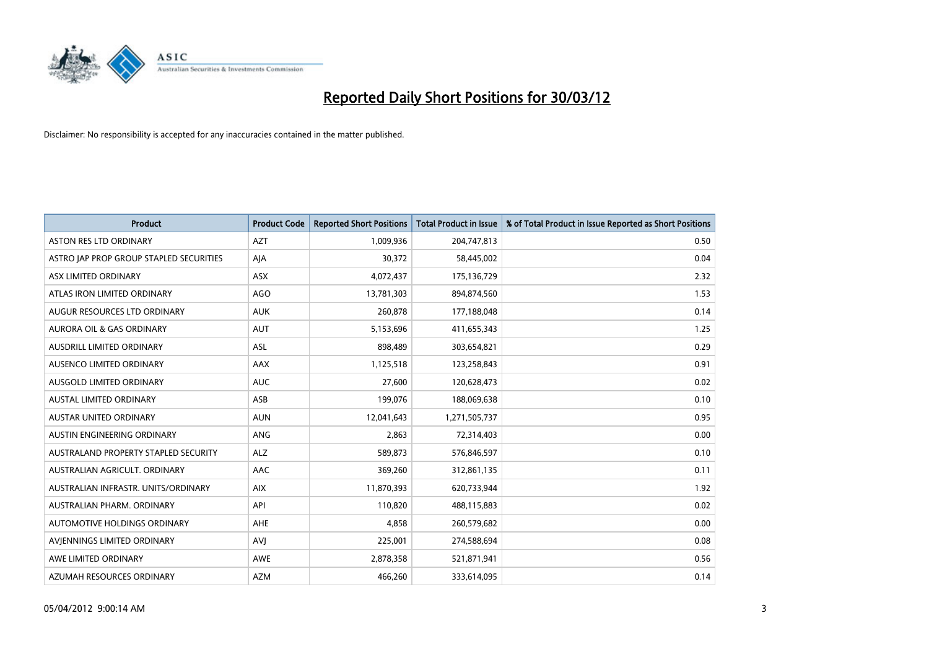

| <b>Product</b>                          | <b>Product Code</b> | <b>Reported Short Positions</b> | <b>Total Product in Issue</b> | % of Total Product in Issue Reported as Short Positions |
|-----------------------------------------|---------------------|---------------------------------|-------------------------------|---------------------------------------------------------|
| <b>ASTON RES LTD ORDINARY</b>           | <b>AZT</b>          | 1,009,936                       | 204,747,813                   | 0.50                                                    |
| ASTRO JAP PROP GROUP STAPLED SECURITIES | AJA                 | 30,372                          | 58,445,002                    | 0.04                                                    |
| ASX LIMITED ORDINARY                    | <b>ASX</b>          | 4,072,437                       | 175,136,729                   | 2.32                                                    |
| ATLAS IRON LIMITED ORDINARY             | AGO                 | 13,781,303                      | 894,874,560                   | 1.53                                                    |
| AUGUR RESOURCES LTD ORDINARY            | <b>AUK</b>          | 260,878                         | 177,188,048                   | 0.14                                                    |
| <b>AURORA OIL &amp; GAS ORDINARY</b>    | <b>AUT</b>          | 5,153,696                       | 411,655,343                   | 1.25                                                    |
| AUSDRILL LIMITED ORDINARY               | ASL                 | 898,489                         | 303,654,821                   | 0.29                                                    |
| AUSENCO LIMITED ORDINARY                | AAX                 | 1,125,518                       | 123,258,843                   | 0.91                                                    |
| AUSGOLD LIMITED ORDINARY                | <b>AUC</b>          | 27,600                          | 120,628,473                   | 0.02                                                    |
| <b>AUSTAL LIMITED ORDINARY</b>          | ASB                 | 199,076                         | 188,069,638                   | 0.10                                                    |
| AUSTAR UNITED ORDINARY                  | <b>AUN</b>          | 12,041,643                      | 1,271,505,737                 | 0.95                                                    |
| AUSTIN ENGINEERING ORDINARY             | ANG                 | 2,863                           | 72,314,403                    | 0.00                                                    |
| AUSTRALAND PROPERTY STAPLED SECURITY    | <b>ALZ</b>          | 589,873                         | 576,846,597                   | 0.10                                                    |
| AUSTRALIAN AGRICULT, ORDINARY           | AAC                 | 369,260                         | 312,861,135                   | 0.11                                                    |
| AUSTRALIAN INFRASTR, UNITS/ORDINARY     | <b>AIX</b>          | 11,870,393                      | 620,733,944                   | 1.92                                                    |
| AUSTRALIAN PHARM. ORDINARY              | API                 | 110,820                         | 488,115,883                   | 0.02                                                    |
| AUTOMOTIVE HOLDINGS ORDINARY            | AHE                 | 4,858                           | 260,579,682                   | 0.00                                                    |
| AVIENNINGS LIMITED ORDINARY             | <b>AVJ</b>          | 225,001                         | 274,588,694                   | 0.08                                                    |
| AWE LIMITED ORDINARY                    | <b>AWE</b>          | 2,878,358                       | 521,871,941                   | 0.56                                                    |
| AZUMAH RESOURCES ORDINARY               | AZM                 | 466,260                         | 333,614,095                   | 0.14                                                    |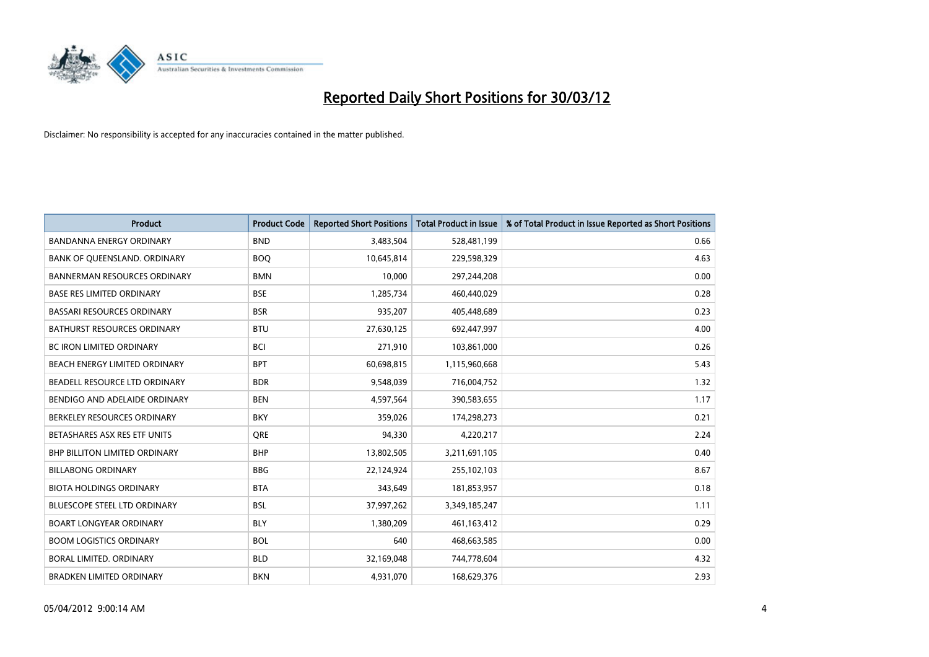

| <b>Product</b>                       | <b>Product Code</b> | <b>Reported Short Positions</b> | <b>Total Product in Issue</b> | % of Total Product in Issue Reported as Short Positions |
|--------------------------------------|---------------------|---------------------------------|-------------------------------|---------------------------------------------------------|
| BANDANNA ENERGY ORDINARY             | <b>BND</b>          | 3,483,504                       | 528,481,199                   | 0.66                                                    |
| BANK OF QUEENSLAND. ORDINARY         | <b>BOQ</b>          | 10,645,814                      | 229,598,329                   | 4.63                                                    |
| <b>BANNERMAN RESOURCES ORDINARY</b>  | <b>BMN</b>          | 10,000                          | 297,244,208                   | 0.00                                                    |
| <b>BASE RES LIMITED ORDINARY</b>     | <b>BSE</b>          | 1,285,734                       | 460,440,029                   | 0.28                                                    |
| <b>BASSARI RESOURCES ORDINARY</b>    | <b>BSR</b>          | 935,207                         | 405,448,689                   | 0.23                                                    |
| <b>BATHURST RESOURCES ORDINARY</b>   | <b>BTU</b>          | 27,630,125                      | 692,447,997                   | 4.00                                                    |
| BC IRON LIMITED ORDINARY             | <b>BCI</b>          | 271,910                         | 103,861,000                   | 0.26                                                    |
| BEACH ENERGY LIMITED ORDINARY        | <b>BPT</b>          | 60,698,815                      | 1,115,960,668                 | 5.43                                                    |
| BEADELL RESOURCE LTD ORDINARY        | <b>BDR</b>          | 9,548,039                       | 716,004,752                   | 1.32                                                    |
| BENDIGO AND ADELAIDE ORDINARY        | <b>BEN</b>          | 4,597,564                       | 390,583,655                   | 1.17                                                    |
| BERKELEY RESOURCES ORDINARY          | <b>BKY</b>          | 359,026                         | 174,298,273                   | 0.21                                                    |
| BETASHARES ASX RES ETF UNITS         | <b>ORE</b>          | 94,330                          | 4,220,217                     | 2.24                                                    |
| <b>BHP BILLITON LIMITED ORDINARY</b> | <b>BHP</b>          | 13,802,505                      | 3,211,691,105                 | 0.40                                                    |
| <b>BILLABONG ORDINARY</b>            | <b>BBG</b>          | 22,124,924                      | 255,102,103                   | 8.67                                                    |
| <b>BIOTA HOLDINGS ORDINARY</b>       | <b>BTA</b>          | 343,649                         | 181,853,957                   | 0.18                                                    |
| BLUESCOPE STEEL LTD ORDINARY         | <b>BSL</b>          | 37,997,262                      | 3,349,185,247                 | 1.11                                                    |
| <b>BOART LONGYEAR ORDINARY</b>       | <b>BLY</b>          | 1,380,209                       | 461,163,412                   | 0.29                                                    |
| <b>BOOM LOGISTICS ORDINARY</b>       | <b>BOL</b>          | 640                             | 468,663,585                   | 0.00                                                    |
| <b>BORAL LIMITED, ORDINARY</b>       | <b>BLD</b>          | 32,169,048                      | 744,778,604                   | 4.32                                                    |
| <b>BRADKEN LIMITED ORDINARY</b>      | <b>BKN</b>          | 4,931,070                       | 168,629,376                   | 2.93                                                    |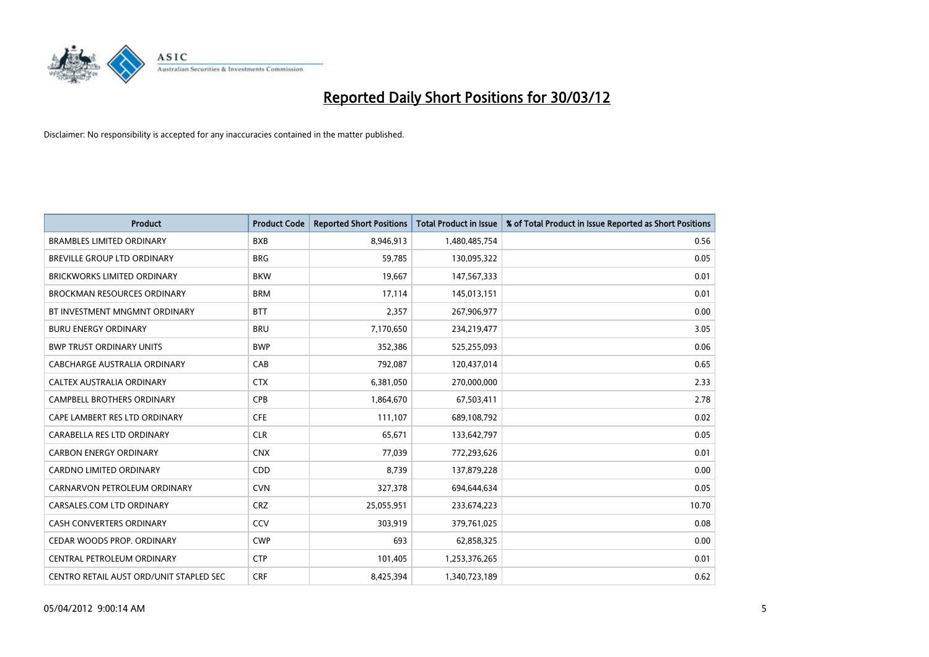

| <b>Product</b>                          | <b>Product Code</b> | <b>Reported Short Positions</b> | <b>Total Product in Issue</b> | % of Total Product in Issue Reported as Short Positions |
|-----------------------------------------|---------------------|---------------------------------|-------------------------------|---------------------------------------------------------|
| <b>BRAMBLES LIMITED ORDINARY</b>        | <b>BXB</b>          | 8,946,913                       | 1,480,485,754                 | 0.56                                                    |
| BREVILLE GROUP LTD ORDINARY             | <b>BRG</b>          | 59,785                          | 130,095,322                   | 0.05                                                    |
| <b>BRICKWORKS LIMITED ORDINARY</b>      | <b>BKW</b>          | 19,667                          | 147,567,333                   | 0.01                                                    |
| BROCKMAN RESOURCES ORDINARY             | <b>BRM</b>          | 17,114                          | 145,013,151                   | 0.01                                                    |
| BT INVESTMENT MNGMNT ORDINARY           | <b>BTT</b>          | 2,357                           | 267,906,977                   | 0.00                                                    |
| <b>BURU ENERGY ORDINARY</b>             | <b>BRU</b>          | 7,170,650                       | 234,219,477                   | 3.05                                                    |
| <b>BWP TRUST ORDINARY UNITS</b>         | <b>BWP</b>          | 352,386                         | 525,255,093                   | 0.06                                                    |
| <b>CABCHARGE AUSTRALIA ORDINARY</b>     | CAB                 | 792,087                         | 120,437,014                   | 0.65                                                    |
| CALTEX AUSTRALIA ORDINARY               | <b>CTX</b>          | 6,381,050                       | 270,000,000                   | 2.33                                                    |
| <b>CAMPBELL BROTHERS ORDINARY</b>       | <b>CPB</b>          | 1,864,670                       | 67,503,411                    | 2.78                                                    |
| CAPE LAMBERT RES LTD ORDINARY           | <b>CFE</b>          | 111,107                         | 689,108,792                   | 0.02                                                    |
| CARABELLA RES LTD ORDINARY              | <b>CLR</b>          | 65,671                          | 133,642,797                   | 0.05                                                    |
| <b>CARBON ENERGY ORDINARY</b>           | <b>CNX</b>          | 77,039                          | 772,293,626                   | 0.01                                                    |
| <b>CARDNO LIMITED ORDINARY</b>          | CDD                 | 8,739                           | 137,879,228                   | 0.00                                                    |
| CARNARVON PETROLEUM ORDINARY            | <b>CVN</b>          | 327,378                         | 694,644,634                   | 0.05                                                    |
| CARSALES.COM LTD ORDINARY               | <b>CRZ</b>          | 25,055,951                      | 233,674,223                   | 10.70                                                   |
| CASH CONVERTERS ORDINARY                | CCV                 | 303,919                         | 379,761,025                   | 0.08                                                    |
| CEDAR WOODS PROP. ORDINARY              | <b>CWP</b>          | 693                             | 62,858,325                    | 0.00                                                    |
| CENTRAL PETROLEUM ORDINARY              | <b>CTP</b>          | 101,405                         | 1,253,376,265                 | 0.01                                                    |
| CENTRO RETAIL AUST ORD/UNIT STAPLED SEC | <b>CRF</b>          | 8,425,394                       | 1,340,723,189                 | 0.62                                                    |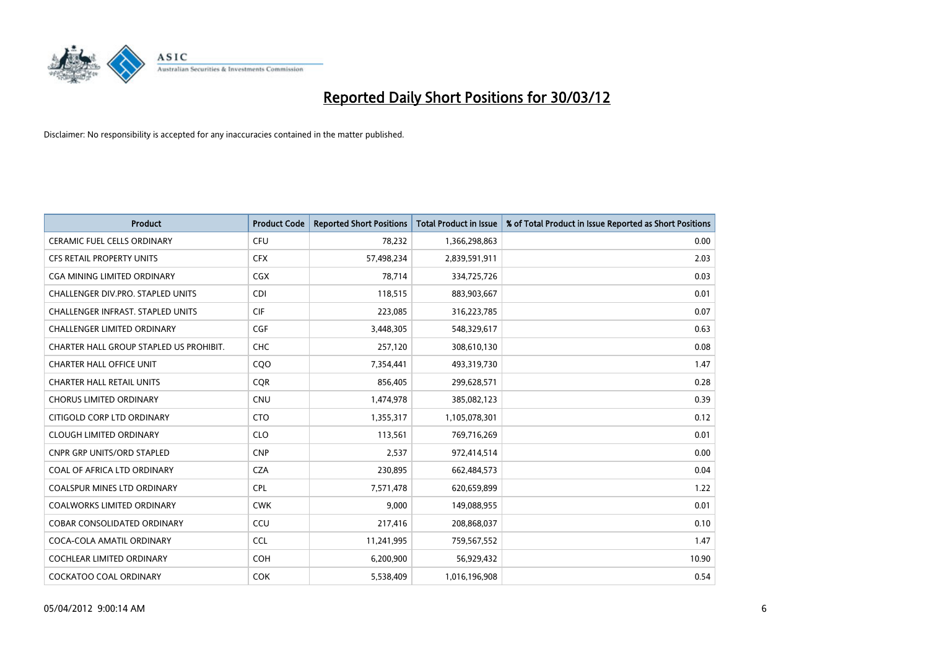

| <b>Product</b>                           | <b>Product Code</b> | <b>Reported Short Positions</b> | <b>Total Product in Issue</b> | % of Total Product in Issue Reported as Short Positions |
|------------------------------------------|---------------------|---------------------------------|-------------------------------|---------------------------------------------------------|
| <b>CERAMIC FUEL CELLS ORDINARY</b>       | <b>CFU</b>          | 78,232                          | 1,366,298,863                 | 0.00                                                    |
| CFS RETAIL PROPERTY UNITS                | <b>CFX</b>          | 57,498,234                      | 2,839,591,911                 | 2.03                                                    |
| CGA MINING LIMITED ORDINARY              | <b>CGX</b>          | 78,714                          | 334,725,726                   | 0.03                                                    |
| CHALLENGER DIV.PRO. STAPLED UNITS        | <b>CDI</b>          | 118,515                         | 883,903,667                   | 0.01                                                    |
| <b>CHALLENGER INFRAST, STAPLED UNITS</b> | <b>CIF</b>          | 223,085                         | 316,223,785                   | 0.07                                                    |
| <b>CHALLENGER LIMITED ORDINARY</b>       | <b>CGF</b>          | 3,448,305                       | 548,329,617                   | 0.63                                                    |
| CHARTER HALL GROUP STAPLED US PROHIBIT.  | <b>CHC</b>          | 257,120                         | 308,610,130                   | 0.08                                                    |
| <b>CHARTER HALL OFFICE UNIT</b>          | COO                 | 7,354,441                       | 493,319,730                   | 1.47                                                    |
| <b>CHARTER HALL RETAIL UNITS</b>         | <b>CQR</b>          | 856,405                         | 299,628,571                   | 0.28                                                    |
| <b>CHORUS LIMITED ORDINARY</b>           | <b>CNU</b>          | 1,474,978                       | 385,082,123                   | 0.39                                                    |
| CITIGOLD CORP LTD ORDINARY               | <b>CTO</b>          | 1,355,317                       | 1,105,078,301                 | 0.12                                                    |
| <b>CLOUGH LIMITED ORDINARY</b>           | <b>CLO</b>          | 113,561                         | 769,716,269                   | 0.01                                                    |
| CNPR GRP UNITS/ORD STAPLED               | <b>CNP</b>          | 2,537                           | 972,414,514                   | 0.00                                                    |
| COAL OF AFRICA LTD ORDINARY              | <b>CZA</b>          | 230,895                         | 662,484,573                   | 0.04                                                    |
| <b>COALSPUR MINES LTD ORDINARY</b>       | <b>CPL</b>          | 7,571,478                       | 620,659,899                   | 1.22                                                    |
| COALWORKS LIMITED ORDINARY               | <b>CWK</b>          | 9,000                           | 149,088,955                   | 0.01                                                    |
| COBAR CONSOLIDATED ORDINARY              | CCU                 | 217,416                         | 208,868,037                   | 0.10                                                    |
| COCA-COLA AMATIL ORDINARY                | <b>CCL</b>          | 11,241,995                      | 759,567,552                   | 1.47                                                    |
| <b>COCHLEAR LIMITED ORDINARY</b>         | <b>COH</b>          | 6,200,900                       | 56,929,432                    | 10.90                                                   |
| COCKATOO COAL ORDINARY                   | <b>COK</b>          | 5,538,409                       | 1,016,196,908                 | 0.54                                                    |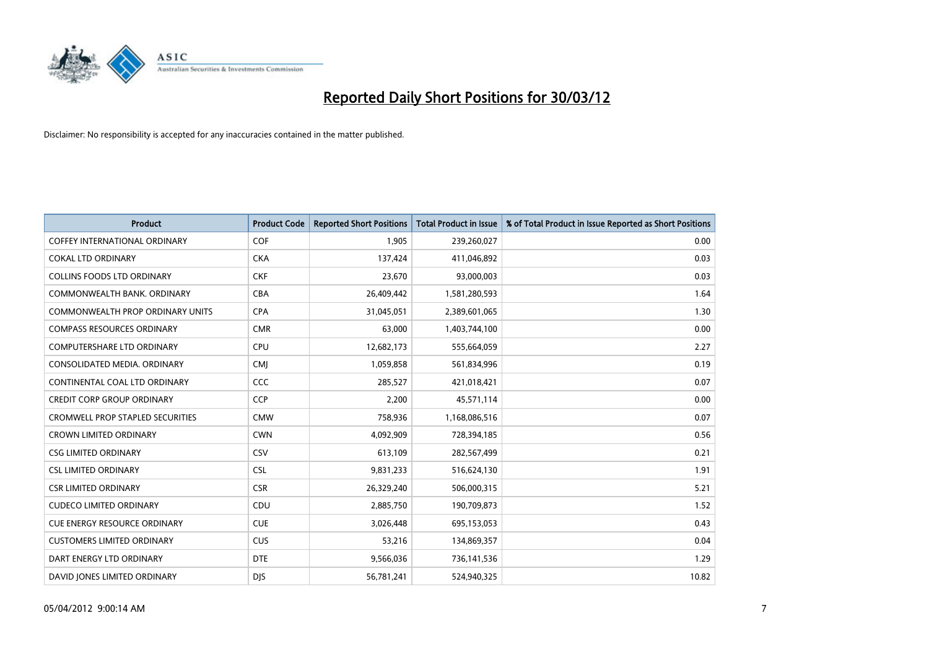

| <b>Product</b>                          | <b>Product Code</b> | <b>Reported Short Positions</b> | <b>Total Product in Issue</b> | % of Total Product in Issue Reported as Short Positions |
|-----------------------------------------|---------------------|---------------------------------|-------------------------------|---------------------------------------------------------|
| <b>COFFEY INTERNATIONAL ORDINARY</b>    | <b>COF</b>          | 1,905                           | 239,260,027                   | 0.00                                                    |
| <b>COKAL LTD ORDINARY</b>               | <b>CKA</b>          | 137,424                         | 411,046,892                   | 0.03                                                    |
| <b>COLLINS FOODS LTD ORDINARY</b>       | <b>CKF</b>          | 23,670                          | 93,000,003                    | 0.03                                                    |
| COMMONWEALTH BANK, ORDINARY             | <b>CBA</b>          | 26,409,442                      | 1,581,280,593                 | 1.64                                                    |
| <b>COMMONWEALTH PROP ORDINARY UNITS</b> | <b>CPA</b>          | 31,045,051                      | 2,389,601,065                 | 1.30                                                    |
| <b>COMPASS RESOURCES ORDINARY</b>       | <b>CMR</b>          | 63,000                          | 1,403,744,100                 | 0.00                                                    |
| <b>COMPUTERSHARE LTD ORDINARY</b>       | <b>CPU</b>          | 12,682,173                      | 555,664,059                   | 2.27                                                    |
| CONSOLIDATED MEDIA. ORDINARY            | <b>CMJ</b>          | 1,059,858                       | 561,834,996                   | 0.19                                                    |
| CONTINENTAL COAL LTD ORDINARY           | <b>CCC</b>          | 285,527                         | 421,018,421                   | 0.07                                                    |
| <b>CREDIT CORP GROUP ORDINARY</b>       | CCP                 | 2,200                           | 45,571,114                    | 0.00                                                    |
| CROMWELL PROP STAPLED SECURITIES        | <b>CMW</b>          | 758,936                         | 1,168,086,516                 | 0.07                                                    |
| <b>CROWN LIMITED ORDINARY</b>           | <b>CWN</b>          | 4,092,909                       | 728,394,185                   | 0.56                                                    |
| <b>CSG LIMITED ORDINARY</b>             | CSV                 | 613,109                         | 282,567,499                   | 0.21                                                    |
| <b>CSL LIMITED ORDINARY</b>             | <b>CSL</b>          | 9,831,233                       | 516,624,130                   | 1.91                                                    |
| <b>CSR LIMITED ORDINARY</b>             | <b>CSR</b>          | 26,329,240                      | 506,000,315                   | 5.21                                                    |
| <b>CUDECO LIMITED ORDINARY</b>          | CDU                 | 2,885,750                       | 190,709,873                   | 1.52                                                    |
| CUE ENERGY RESOURCE ORDINARY            | <b>CUE</b>          | 3,026,448                       | 695,153,053                   | 0.43                                                    |
| <b>CUSTOMERS LIMITED ORDINARY</b>       | <b>CUS</b>          | 53,216                          | 134,869,357                   | 0.04                                                    |
| DART ENERGY LTD ORDINARY                | <b>DTE</b>          | 9,566,036                       | 736,141,536                   | 1.29                                                    |
| DAVID JONES LIMITED ORDINARY            | <b>DJS</b>          | 56,781,241                      | 524,940,325                   | 10.82                                                   |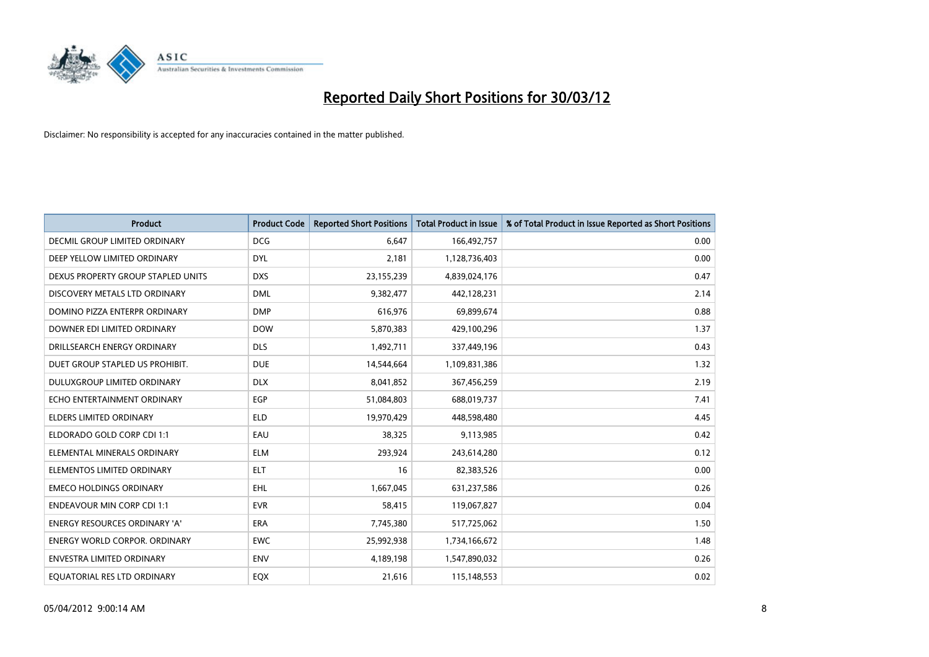

| <b>Product</b>                       | <b>Product Code</b> | <b>Reported Short Positions</b> | <b>Total Product in Issue</b> | % of Total Product in Issue Reported as Short Positions |
|--------------------------------------|---------------------|---------------------------------|-------------------------------|---------------------------------------------------------|
| <b>DECMIL GROUP LIMITED ORDINARY</b> | <b>DCG</b>          | 6,647                           | 166,492,757                   | 0.00                                                    |
| DEEP YELLOW LIMITED ORDINARY         | <b>DYL</b>          | 2,181                           | 1,128,736,403                 | 0.00                                                    |
| DEXUS PROPERTY GROUP STAPLED UNITS   | <b>DXS</b>          | 23,155,239                      | 4,839,024,176                 | 0.47                                                    |
| DISCOVERY METALS LTD ORDINARY        | <b>DML</b>          | 9,382,477                       | 442,128,231                   | 2.14                                                    |
| DOMINO PIZZA ENTERPR ORDINARY        | <b>DMP</b>          | 616,976                         | 69,899,674                    | 0.88                                                    |
| DOWNER EDI LIMITED ORDINARY          | <b>DOW</b>          | 5,870,383                       | 429,100,296                   | 1.37                                                    |
| DRILLSEARCH ENERGY ORDINARY          | <b>DLS</b>          | 1,492,711                       | 337,449,196                   | 0.43                                                    |
| DUET GROUP STAPLED US PROHIBIT.      | <b>DUE</b>          | 14,544,664                      | 1,109,831,386                 | 1.32                                                    |
| DULUXGROUP LIMITED ORDINARY          | <b>DLX</b>          | 8,041,852                       | 367,456,259                   | 2.19                                                    |
| ECHO ENTERTAINMENT ORDINARY          | <b>EGP</b>          | 51,084,803                      | 688,019,737                   | 7.41                                                    |
| ELDERS LIMITED ORDINARY              | <b>ELD</b>          | 19,970,429                      | 448,598,480                   | 4.45                                                    |
| ELDORADO GOLD CORP CDI 1:1           | EAU                 | 38,325                          | 9,113,985                     | 0.42                                                    |
| ELEMENTAL MINERALS ORDINARY          | <b>ELM</b>          | 293,924                         | 243,614,280                   | 0.12                                                    |
| ELEMENTOS LIMITED ORDINARY           | <b>ELT</b>          | 16                              | 82,383,526                    | 0.00                                                    |
| <b>EMECO HOLDINGS ORDINARY</b>       | <b>EHL</b>          | 1,667,045                       | 631,237,586                   | 0.26                                                    |
| <b>ENDEAVOUR MIN CORP CDI 1:1</b>    | <b>EVR</b>          | 58,415                          | 119,067,827                   | 0.04                                                    |
| ENERGY RESOURCES ORDINARY 'A'        | ERA                 | 7,745,380                       | 517,725,062                   | 1.50                                                    |
| <b>ENERGY WORLD CORPOR. ORDINARY</b> | <b>EWC</b>          | 25,992,938                      | 1,734,166,672                 | 1.48                                                    |
| ENVESTRA LIMITED ORDINARY            | <b>ENV</b>          | 4,189,198                       | 1,547,890,032                 | 0.26                                                    |
| EQUATORIAL RES LTD ORDINARY          | EQX                 | 21,616                          | 115,148,553                   | 0.02                                                    |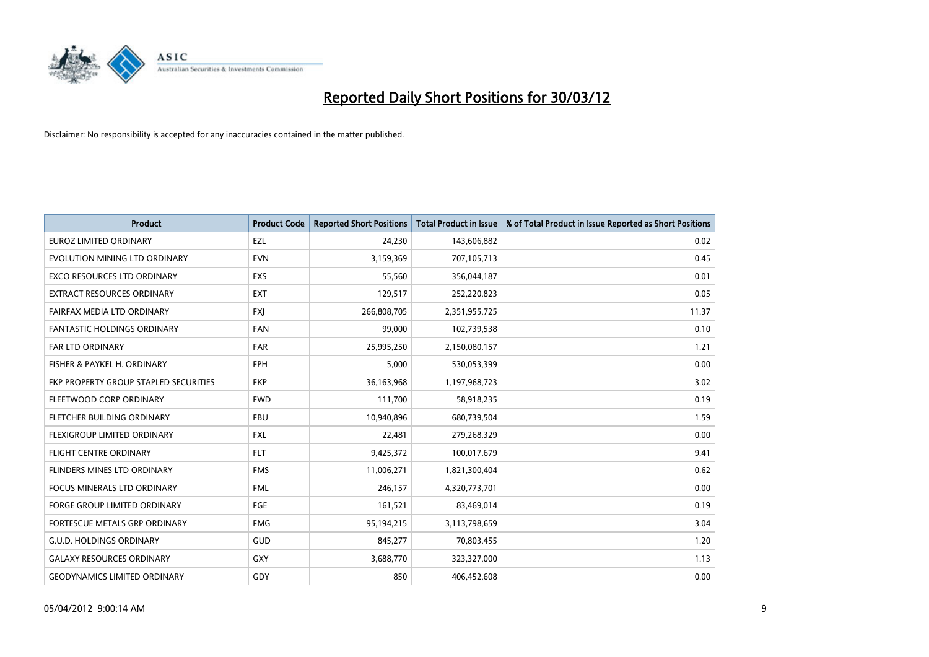

| <b>Product</b>                        | <b>Product Code</b> | <b>Reported Short Positions</b> | <b>Total Product in Issue</b> | % of Total Product in Issue Reported as Short Positions |
|---------------------------------------|---------------------|---------------------------------|-------------------------------|---------------------------------------------------------|
| <b>EUROZ LIMITED ORDINARY</b>         | <b>EZL</b>          | 24,230                          | 143,606,882                   | 0.02                                                    |
| EVOLUTION MINING LTD ORDINARY         | <b>EVN</b>          | 3,159,369                       | 707,105,713                   | 0.45                                                    |
| EXCO RESOURCES LTD ORDINARY           | <b>EXS</b>          | 55,560                          | 356,044,187                   | 0.01                                                    |
| <b>EXTRACT RESOURCES ORDINARY</b>     | <b>EXT</b>          | 129,517                         | 252,220,823                   | 0.05                                                    |
| FAIRFAX MEDIA LTD ORDINARY            | <b>FXI</b>          | 266,808,705                     | 2,351,955,725                 | 11.37                                                   |
| <b>FANTASTIC HOLDINGS ORDINARY</b>    | <b>FAN</b>          | 99,000                          | 102,739,538                   | 0.10                                                    |
| <b>FAR LTD ORDINARY</b>               | <b>FAR</b>          | 25,995,250                      | 2,150,080,157                 | 1.21                                                    |
| FISHER & PAYKEL H. ORDINARY           | <b>FPH</b>          | 5,000                           | 530,053,399                   | 0.00                                                    |
| FKP PROPERTY GROUP STAPLED SECURITIES | <b>FKP</b>          | 36,163,968                      | 1,197,968,723                 | 3.02                                                    |
| FLEETWOOD CORP ORDINARY               | <b>FWD</b>          | 111,700                         | 58,918,235                    | 0.19                                                    |
| FLETCHER BUILDING ORDINARY            | <b>FBU</b>          | 10,940,896                      | 680,739,504                   | 1.59                                                    |
| FLEXIGROUP LIMITED ORDINARY           | FXL                 | 22,481                          | 279,268,329                   | 0.00                                                    |
| <b>FLIGHT CENTRE ORDINARY</b>         | <b>FLT</b>          | 9,425,372                       | 100,017,679                   | 9.41                                                    |
| FLINDERS MINES LTD ORDINARY           | <b>FMS</b>          | 11,006,271                      | 1,821,300,404                 | 0.62                                                    |
| <b>FOCUS MINERALS LTD ORDINARY</b>    | <b>FML</b>          | 246,157                         | 4,320,773,701                 | 0.00                                                    |
| <b>FORGE GROUP LIMITED ORDINARY</b>   | FGE                 | 161,521                         | 83,469,014                    | 0.19                                                    |
| FORTESCUE METALS GRP ORDINARY         | <b>FMG</b>          | 95,194,215                      | 3,113,798,659                 | 3.04                                                    |
| <b>G.U.D. HOLDINGS ORDINARY</b>       | <b>GUD</b>          | 845,277                         | 70,803,455                    | 1.20                                                    |
| <b>GALAXY RESOURCES ORDINARY</b>      | <b>GXY</b>          | 3,688,770                       | 323,327,000                   | 1.13                                                    |
| <b>GEODYNAMICS LIMITED ORDINARY</b>   | GDY                 | 850                             | 406,452,608                   | 0.00                                                    |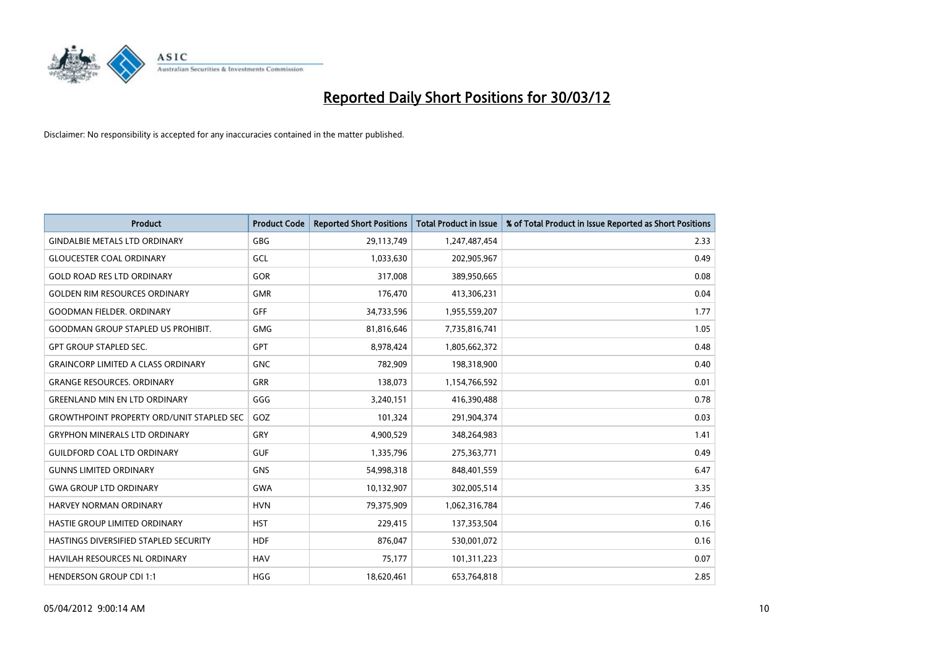

| <b>Product</b>                                   | <b>Product Code</b> | <b>Reported Short Positions</b> | <b>Total Product in Issue</b> | % of Total Product in Issue Reported as Short Positions |
|--------------------------------------------------|---------------------|---------------------------------|-------------------------------|---------------------------------------------------------|
| <b>GINDALBIE METALS LTD ORDINARY</b>             | GBG                 | 29,113,749                      | 1,247,487,454                 | 2.33                                                    |
| <b>GLOUCESTER COAL ORDINARY</b>                  | GCL                 | 1,033,630                       | 202,905,967                   | 0.49                                                    |
| <b>GOLD ROAD RES LTD ORDINARY</b>                | GOR                 | 317,008                         | 389,950,665                   | 0.08                                                    |
| <b>GOLDEN RIM RESOURCES ORDINARY</b>             | <b>GMR</b>          | 176,470                         | 413,306,231                   | 0.04                                                    |
| <b>GOODMAN FIELDER, ORDINARY</b>                 | <b>GFF</b>          | 34,733,596                      | 1,955,559,207                 | 1.77                                                    |
| <b>GOODMAN GROUP STAPLED US PROHIBIT.</b>        | <b>GMG</b>          | 81,816,646                      | 7,735,816,741                 | 1.05                                                    |
| <b>GPT GROUP STAPLED SEC.</b>                    | GPT                 | 8,978,424                       | 1,805,662,372                 | 0.48                                                    |
| <b>GRAINCORP LIMITED A CLASS ORDINARY</b>        | <b>GNC</b>          | 782,909                         | 198,318,900                   | 0.40                                                    |
| <b>GRANGE RESOURCES, ORDINARY</b>                | <b>GRR</b>          | 138,073                         | 1,154,766,592                 | 0.01                                                    |
| <b>GREENLAND MIN EN LTD ORDINARY</b>             | GGG                 | 3,240,151                       | 416,390,488                   | 0.78                                                    |
| <b>GROWTHPOINT PROPERTY ORD/UNIT STAPLED SEC</b> | GOZ                 | 101,324                         | 291,904,374                   | 0.03                                                    |
| <b>GRYPHON MINERALS LTD ORDINARY</b>             | GRY                 | 4,900,529                       | 348,264,983                   | 1.41                                                    |
| <b>GUILDFORD COAL LTD ORDINARY</b>               | <b>GUF</b>          | 1,335,796                       | 275,363,771                   | 0.49                                                    |
| <b>GUNNS LIMITED ORDINARY</b>                    | <b>GNS</b>          | 54,998,318                      | 848,401,559                   | 6.47                                                    |
| <b>GWA GROUP LTD ORDINARY</b>                    | <b>GWA</b>          | 10,132,907                      | 302,005,514                   | 3.35                                                    |
| HARVEY NORMAN ORDINARY                           | <b>HVN</b>          | 79,375,909                      | 1,062,316,784                 | 7.46                                                    |
| HASTIE GROUP LIMITED ORDINARY                    | <b>HST</b>          | 229,415                         | 137,353,504                   | 0.16                                                    |
| HASTINGS DIVERSIFIED STAPLED SECURITY            | <b>HDF</b>          | 876,047                         | 530,001,072                   | 0.16                                                    |
| <b>HAVILAH RESOURCES NL ORDINARY</b>             | <b>HAV</b>          | 75,177                          | 101,311,223                   | 0.07                                                    |
| <b>HENDERSON GROUP CDI 1:1</b>                   | <b>HGG</b>          | 18,620,461                      | 653,764,818                   | 2.85                                                    |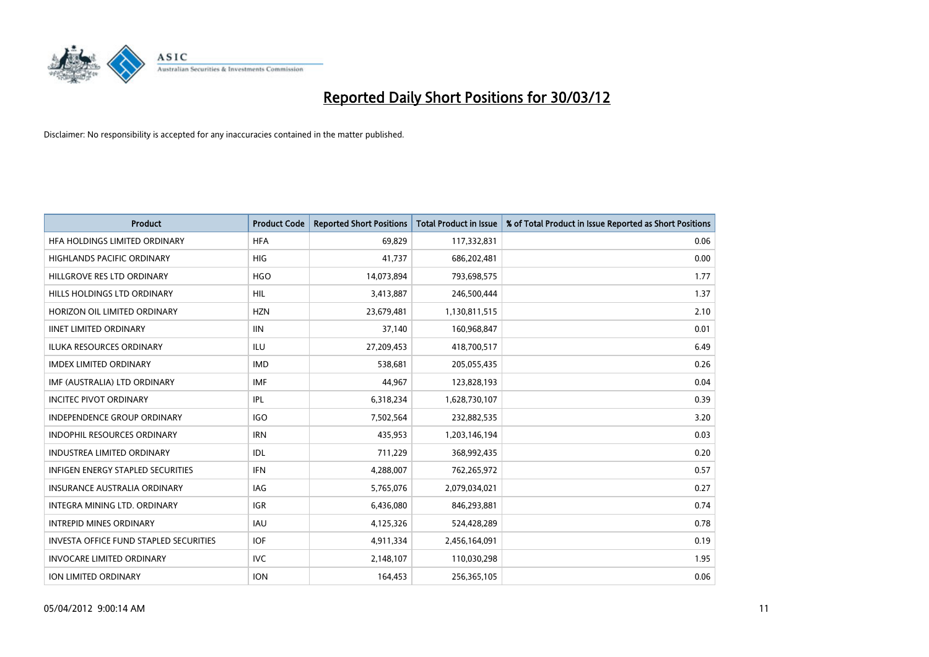

| <b>Product</b>                                | <b>Product Code</b> | <b>Reported Short Positions</b> | <b>Total Product in Issue</b> | % of Total Product in Issue Reported as Short Positions |
|-----------------------------------------------|---------------------|---------------------------------|-------------------------------|---------------------------------------------------------|
| HFA HOLDINGS LIMITED ORDINARY                 | <b>HFA</b>          | 69,829                          | 117,332,831                   | 0.06                                                    |
| HIGHLANDS PACIFIC ORDINARY                    | <b>HIG</b>          | 41,737                          | 686,202,481                   | 0.00                                                    |
| HILLGROVE RES LTD ORDINARY                    | <b>HGO</b>          | 14,073,894                      | 793,698,575                   | 1.77                                                    |
| HILLS HOLDINGS LTD ORDINARY                   | <b>HIL</b>          | 3,413,887                       | 246,500,444                   | 1.37                                                    |
| HORIZON OIL LIMITED ORDINARY                  | <b>HZN</b>          | 23,679,481                      | 1,130,811,515                 | 2.10                                                    |
| <b>IINET LIMITED ORDINARY</b>                 | <b>IIN</b>          | 37,140                          | 160,968,847                   | 0.01                                                    |
| <b>ILUKA RESOURCES ORDINARY</b>               | <b>ILU</b>          | 27,209,453                      | 418,700,517                   | 6.49                                                    |
| <b>IMDEX LIMITED ORDINARY</b>                 | <b>IMD</b>          | 538,681                         | 205,055,435                   | 0.26                                                    |
| IMF (AUSTRALIA) LTD ORDINARY                  | <b>IMF</b>          | 44,967                          | 123,828,193                   | 0.04                                                    |
| <b>INCITEC PIVOT ORDINARY</b>                 | <b>IPL</b>          | 6,318,234                       | 1,628,730,107                 | 0.39                                                    |
| INDEPENDENCE GROUP ORDINARY                   | <b>IGO</b>          | 7,502,564                       | 232,882,535                   | 3.20                                                    |
| <b>INDOPHIL RESOURCES ORDINARY</b>            | <b>IRN</b>          | 435,953                         | 1,203,146,194                 | 0.03                                                    |
| <b>INDUSTREA LIMITED ORDINARY</b>             | <b>IDL</b>          | 711,229                         | 368,992,435                   | 0.20                                                    |
| <b>INFIGEN ENERGY STAPLED SECURITIES</b>      | <b>IFN</b>          | 4,288,007                       | 762,265,972                   | 0.57                                                    |
| <b>INSURANCE AUSTRALIA ORDINARY</b>           | <b>IAG</b>          | 5,765,076                       | 2,079,034,021                 | 0.27                                                    |
| INTEGRA MINING LTD. ORDINARY                  | <b>IGR</b>          | 6,436,080                       | 846,293,881                   | 0.74                                                    |
| <b>INTREPID MINES ORDINARY</b>                | <b>IAU</b>          | 4,125,326                       | 524,428,289                   | 0.78                                                    |
| <b>INVESTA OFFICE FUND STAPLED SECURITIES</b> | <b>IOF</b>          | 4,911,334                       | 2,456,164,091                 | 0.19                                                    |
| <b>INVOCARE LIMITED ORDINARY</b>              | IVC                 | 2,148,107                       | 110,030,298                   | 1.95                                                    |
| ION LIMITED ORDINARY                          | <b>ION</b>          | 164,453                         | 256,365,105                   | 0.06                                                    |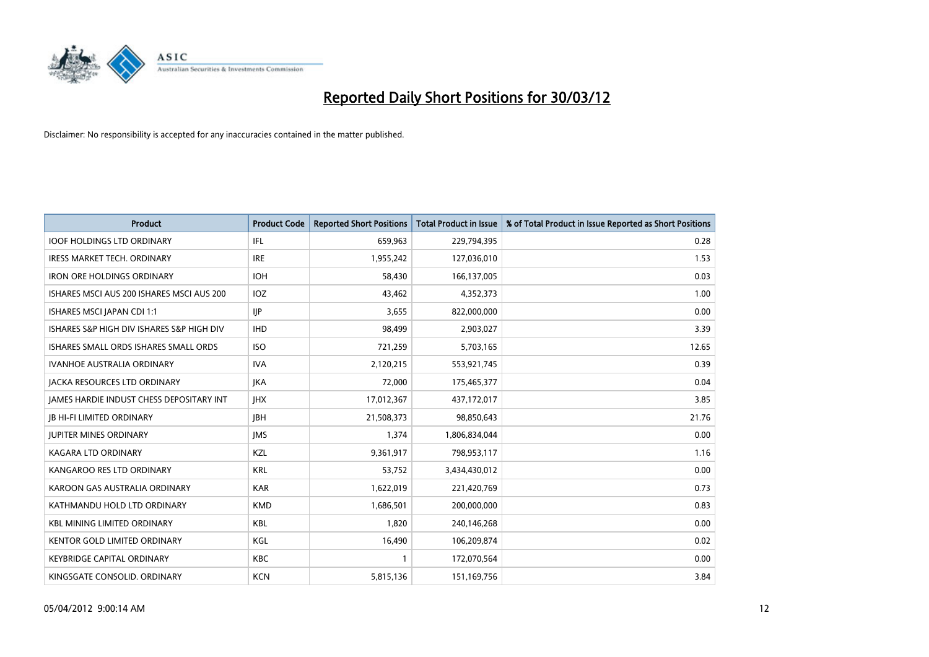

| <b>Product</b>                            | <b>Product Code</b> | <b>Reported Short Positions</b> | <b>Total Product in Issue</b> | % of Total Product in Issue Reported as Short Positions |
|-------------------------------------------|---------------------|---------------------------------|-------------------------------|---------------------------------------------------------|
| <b>IOOF HOLDINGS LTD ORDINARY</b>         | IFL                 | 659,963                         | 229,794,395                   | 0.28                                                    |
| <b>IRESS MARKET TECH. ORDINARY</b>        | <b>IRE</b>          | 1,955,242                       | 127,036,010                   | 1.53                                                    |
| <b>IRON ORE HOLDINGS ORDINARY</b>         | <b>IOH</b>          | 58,430                          | 166,137,005                   | 0.03                                                    |
| ISHARES MSCI AUS 200 ISHARES MSCI AUS 200 | IOZ                 | 43,462                          | 4,352,373                     | 1.00                                                    |
| ISHARES MSCI JAPAN CDI 1:1                | IIP                 | 3,655                           | 822,000,000                   | 0.00                                                    |
| ISHARES S&P HIGH DIV ISHARES S&P HIGH DIV | <b>IHD</b>          | 98,499                          | 2,903,027                     | 3.39                                                    |
| ISHARES SMALL ORDS ISHARES SMALL ORDS     | <b>ISO</b>          | 721,259                         | 5,703,165                     | 12.65                                                   |
| <b>IVANHOE AUSTRALIA ORDINARY</b>         | <b>IVA</b>          | 2,120,215                       | 553,921,745                   | 0.39                                                    |
| <b>JACKA RESOURCES LTD ORDINARY</b>       | <b>JKA</b>          | 72,000                          | 175,465,377                   | 0.04                                                    |
| JAMES HARDIE INDUST CHESS DEPOSITARY INT  | <b>IHX</b>          | 17,012,367                      | 437,172,017                   | 3.85                                                    |
| <b>JB HI-FI LIMITED ORDINARY</b>          | <b>JBH</b>          | 21,508,373                      | 98,850,643                    | 21.76                                                   |
| <b>JUPITER MINES ORDINARY</b>             | <b>IMS</b>          | 1,374                           | 1,806,834,044                 | 0.00                                                    |
| <b>KAGARA LTD ORDINARY</b>                | KZL                 | 9,361,917                       | 798,953,117                   | 1.16                                                    |
| KANGAROO RES LTD ORDINARY                 | <b>KRL</b>          | 53,752                          | 3,434,430,012                 | 0.00                                                    |
| KAROON GAS AUSTRALIA ORDINARY             | <b>KAR</b>          | 1,622,019                       | 221,420,769                   | 0.73                                                    |
| KATHMANDU HOLD LTD ORDINARY               | <b>KMD</b>          | 1,686,501                       | 200,000,000                   | 0.83                                                    |
| <b>KBL MINING LIMITED ORDINARY</b>        | <b>KBL</b>          | 1,820                           | 240,146,268                   | 0.00                                                    |
| <b>KENTOR GOLD LIMITED ORDINARY</b>       | KGL                 | 16,490                          | 106,209,874                   | 0.02                                                    |
| <b>KEYBRIDGE CAPITAL ORDINARY</b>         | <b>KBC</b>          | 1                               | 172,070,564                   | 0.00                                                    |
| KINGSGATE CONSOLID. ORDINARY              | <b>KCN</b>          | 5,815,136                       | 151,169,756                   | 3.84                                                    |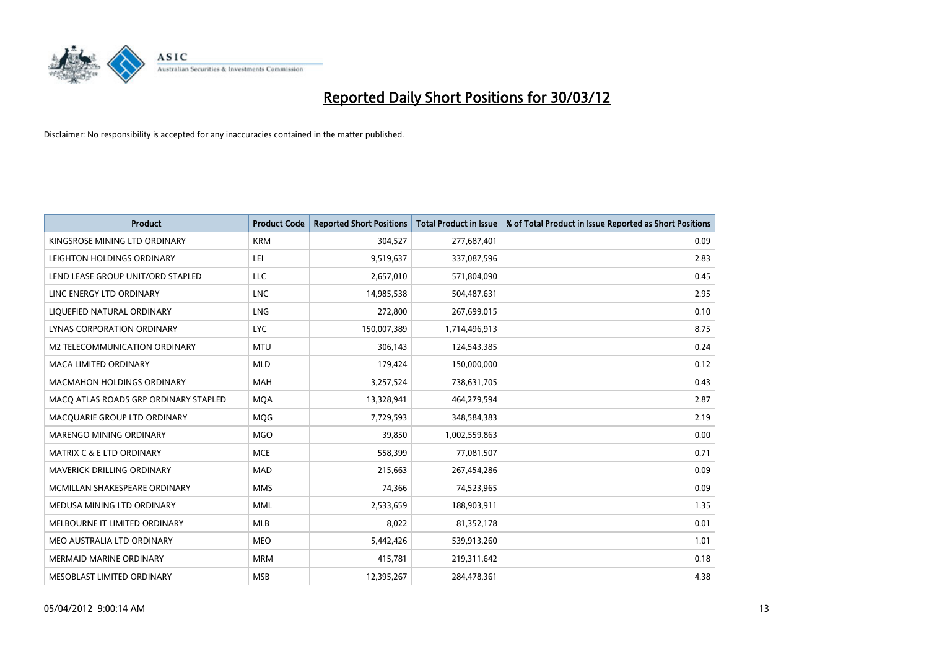

| <b>Product</b>                        | <b>Product Code</b> | <b>Reported Short Positions</b> | <b>Total Product in Issue</b> | % of Total Product in Issue Reported as Short Positions |
|---------------------------------------|---------------------|---------------------------------|-------------------------------|---------------------------------------------------------|
| KINGSROSE MINING LTD ORDINARY         | <b>KRM</b>          | 304,527                         | 277,687,401                   | 0.09                                                    |
| LEIGHTON HOLDINGS ORDINARY            | LEI                 | 9,519,637                       | 337,087,596                   | 2.83                                                    |
| LEND LEASE GROUP UNIT/ORD STAPLED     | <b>LLC</b>          | 2,657,010                       | 571,804,090                   | 0.45                                                    |
| LINC ENERGY LTD ORDINARY              | <b>LNC</b>          | 14,985,538                      | 504,487,631                   | 2.95                                                    |
| LIOUEFIED NATURAL ORDINARY            | LNG                 | 272,800                         | 267,699,015                   | 0.10                                                    |
| <b>LYNAS CORPORATION ORDINARY</b>     | <b>LYC</b>          | 150,007,389                     | 1,714,496,913                 | 8.75                                                    |
| M2 TELECOMMUNICATION ORDINARY         | <b>MTU</b>          | 306,143                         | 124,543,385                   | 0.24                                                    |
| MACA LIMITED ORDINARY                 | <b>MLD</b>          | 179,424                         | 150,000,000                   | 0.12                                                    |
| <b>MACMAHON HOLDINGS ORDINARY</b>     | <b>MAH</b>          | 3,257,524                       | 738,631,705                   | 0.43                                                    |
| MACO ATLAS ROADS GRP ORDINARY STAPLED | <b>MOA</b>          | 13,328,941                      | 464,279,594                   | 2.87                                                    |
| MACQUARIE GROUP LTD ORDINARY          | <b>MOG</b>          | 7,729,593                       | 348,584,383                   | 2.19                                                    |
| MARENGO MINING ORDINARY               | <b>MGO</b>          | 39,850                          | 1,002,559,863                 | 0.00                                                    |
| <b>MATRIX C &amp; E LTD ORDINARY</b>  | <b>MCE</b>          | 558,399                         | 77,081,507                    | 0.71                                                    |
| MAVERICK DRILLING ORDINARY            | <b>MAD</b>          | 215,663                         | 267,454,286                   | 0.09                                                    |
| MCMILLAN SHAKESPEARE ORDINARY         | <b>MMS</b>          | 74,366                          | 74,523,965                    | 0.09                                                    |
| MEDUSA MINING LTD ORDINARY            | <b>MML</b>          | 2,533,659                       | 188,903,911                   | 1.35                                                    |
| MELBOURNE IT LIMITED ORDINARY         | <b>MLB</b>          | 8,022                           | 81,352,178                    | 0.01                                                    |
| MEO AUSTRALIA LTD ORDINARY            | <b>MEO</b>          | 5,442,426                       | 539,913,260                   | 1.01                                                    |
| <b>MERMAID MARINE ORDINARY</b>        | <b>MRM</b>          | 415,781                         | 219,311,642                   | 0.18                                                    |
| MESOBLAST LIMITED ORDINARY            | <b>MSB</b>          | 12,395,267                      | 284,478,361                   | 4.38                                                    |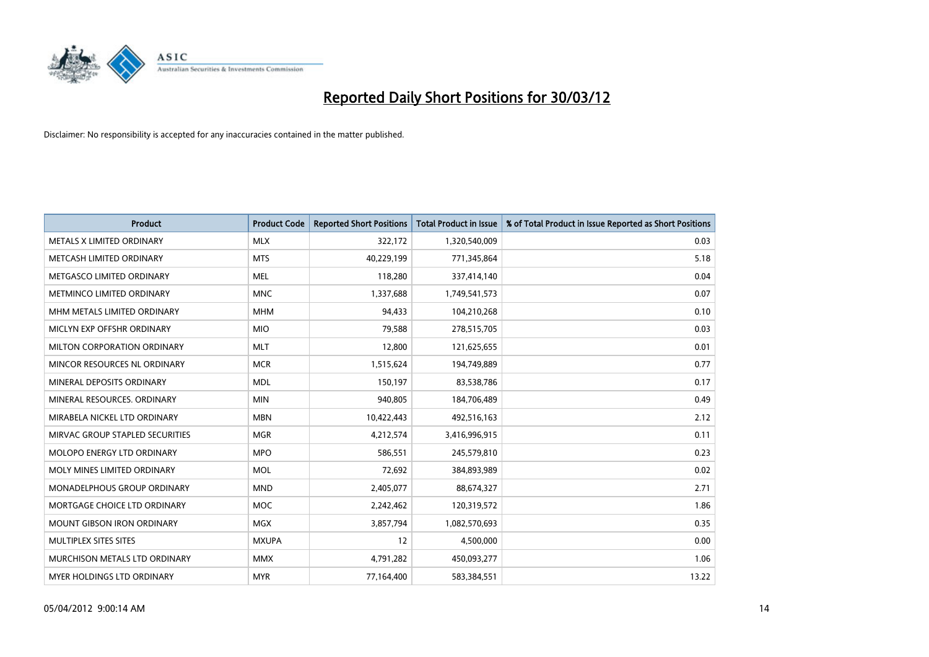

| <b>Product</b>                  | <b>Product Code</b> | <b>Reported Short Positions</b> | <b>Total Product in Issue</b> | % of Total Product in Issue Reported as Short Positions |
|---------------------------------|---------------------|---------------------------------|-------------------------------|---------------------------------------------------------|
| METALS X LIMITED ORDINARY       | <b>MLX</b>          | 322,172                         | 1,320,540,009                 | 0.03                                                    |
| METCASH LIMITED ORDINARY        | <b>MTS</b>          | 40,229,199                      | 771,345,864                   | 5.18                                                    |
| METGASCO LIMITED ORDINARY       | <b>MEL</b>          | 118,280                         | 337,414,140                   | 0.04                                                    |
| METMINCO LIMITED ORDINARY       | <b>MNC</b>          | 1,337,688                       | 1,749,541,573                 | 0.07                                                    |
| MHM METALS LIMITED ORDINARY     | <b>MHM</b>          | 94,433                          | 104,210,268                   | 0.10                                                    |
| MICLYN EXP OFFSHR ORDINARY      | <b>MIO</b>          | 79,588                          | 278,515,705                   | 0.03                                                    |
| MILTON CORPORATION ORDINARY     | <b>MLT</b>          | 12,800                          | 121,625,655                   | 0.01                                                    |
| MINCOR RESOURCES NL ORDINARY    | <b>MCR</b>          | 1,515,624                       | 194,749,889                   | 0.77                                                    |
| MINERAL DEPOSITS ORDINARY       | <b>MDL</b>          | 150,197                         | 83,538,786                    | 0.17                                                    |
| MINERAL RESOURCES, ORDINARY     | <b>MIN</b>          | 940,805                         | 184,706,489                   | 0.49                                                    |
| MIRABELA NICKEL LTD ORDINARY    | <b>MBN</b>          | 10,422,443                      | 492,516,163                   | 2.12                                                    |
| MIRVAC GROUP STAPLED SECURITIES | <b>MGR</b>          | 4,212,574                       | 3,416,996,915                 | 0.11                                                    |
| MOLOPO ENERGY LTD ORDINARY      | <b>MPO</b>          | 586,551                         | 245,579,810                   | 0.23                                                    |
| MOLY MINES LIMITED ORDINARY     | MOL                 | 72,692                          | 384,893,989                   | 0.02                                                    |
| MONADELPHOUS GROUP ORDINARY     | <b>MND</b>          | 2,405,077                       | 88,674,327                    | 2.71                                                    |
| MORTGAGE CHOICE LTD ORDINARY    | MOC                 | 2,242,462                       | 120,319,572                   | 1.86                                                    |
| MOUNT GIBSON IRON ORDINARY      | <b>MGX</b>          | 3,857,794                       | 1,082,570,693                 | 0.35                                                    |
| MULTIPLEX SITES SITES           | <b>MXUPA</b>        | 12                              | 4,500,000                     | 0.00                                                    |
| MURCHISON METALS LTD ORDINARY   | <b>MMX</b>          | 4,791,282                       | 450,093,277                   | 1.06                                                    |
| MYER HOLDINGS LTD ORDINARY      | <b>MYR</b>          | 77,164,400                      | 583,384,551                   | 13.22                                                   |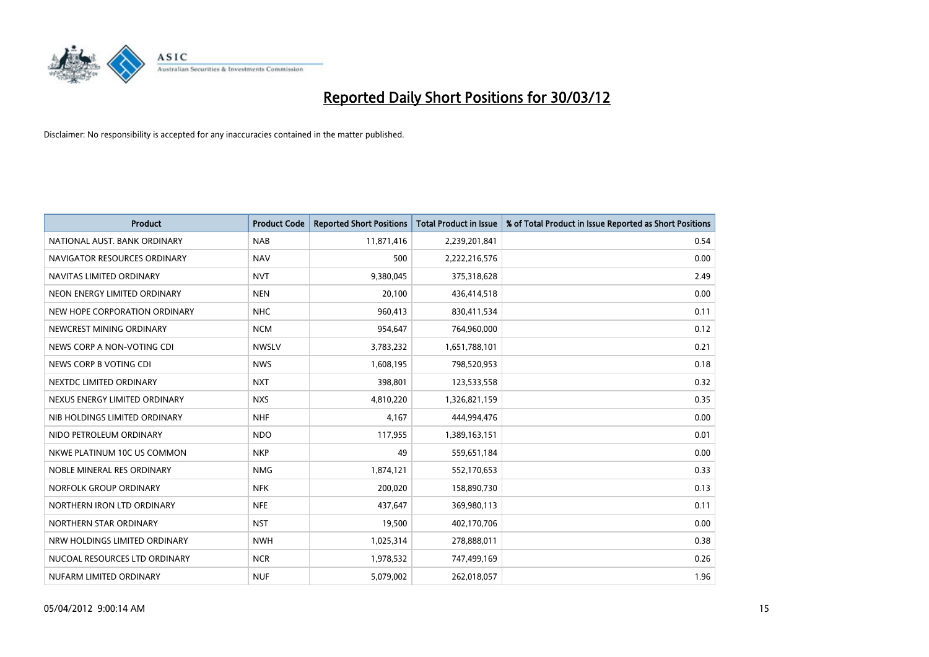

| <b>Product</b>                | <b>Product Code</b> | <b>Reported Short Positions</b> | <b>Total Product in Issue</b> | % of Total Product in Issue Reported as Short Positions |
|-------------------------------|---------------------|---------------------------------|-------------------------------|---------------------------------------------------------|
| NATIONAL AUST. BANK ORDINARY  | <b>NAB</b>          | 11,871,416                      | 2,239,201,841                 | 0.54                                                    |
| NAVIGATOR RESOURCES ORDINARY  | <b>NAV</b>          | 500                             | 2,222,216,576                 | 0.00                                                    |
| NAVITAS LIMITED ORDINARY      | <b>NVT</b>          | 9,380,045                       | 375,318,628                   | 2.49                                                    |
| NEON ENERGY LIMITED ORDINARY  | <b>NEN</b>          | 20,100                          | 436,414,518                   | 0.00                                                    |
| NEW HOPE CORPORATION ORDINARY | <b>NHC</b>          | 960,413                         | 830,411,534                   | 0.11                                                    |
| NEWCREST MINING ORDINARY      | <b>NCM</b>          | 954,647                         | 764,960,000                   | 0.12                                                    |
| NEWS CORP A NON-VOTING CDI    | <b>NWSLV</b>        | 3,783,232                       | 1,651,788,101                 | 0.21                                                    |
| NEWS CORP B VOTING CDI        | <b>NWS</b>          | 1,608,195                       | 798,520,953                   | 0.18                                                    |
| NEXTDC LIMITED ORDINARY       | <b>NXT</b>          | 398,801                         | 123,533,558                   | 0.32                                                    |
| NEXUS ENERGY LIMITED ORDINARY | <b>NXS</b>          | 4,810,220                       | 1,326,821,159                 | 0.35                                                    |
| NIB HOLDINGS LIMITED ORDINARY | <b>NHF</b>          | 4,167                           | 444,994,476                   | 0.00                                                    |
| NIDO PETROLEUM ORDINARY       | <b>NDO</b>          | 117,955                         | 1,389,163,151                 | 0.01                                                    |
| NKWE PLATINUM 10C US COMMON   | <b>NKP</b>          | 49                              | 559,651,184                   | 0.00                                                    |
| NOBLE MINERAL RES ORDINARY    | <b>NMG</b>          | 1,874,121                       | 552,170,653                   | 0.33                                                    |
| NORFOLK GROUP ORDINARY        | <b>NFK</b>          | 200,020                         | 158,890,730                   | 0.13                                                    |
| NORTHERN IRON LTD ORDINARY    | <b>NFE</b>          | 437,647                         | 369,980,113                   | 0.11                                                    |
| NORTHERN STAR ORDINARY        | <b>NST</b>          | 19,500                          | 402,170,706                   | 0.00                                                    |
| NRW HOLDINGS LIMITED ORDINARY | <b>NWH</b>          | 1,025,314                       | 278,888,011                   | 0.38                                                    |
| NUCOAL RESOURCES LTD ORDINARY | <b>NCR</b>          | 1,978,532                       | 747,499,169                   | 0.26                                                    |
| NUFARM LIMITED ORDINARY       | <b>NUF</b>          | 5,079,002                       | 262,018,057                   | 1.96                                                    |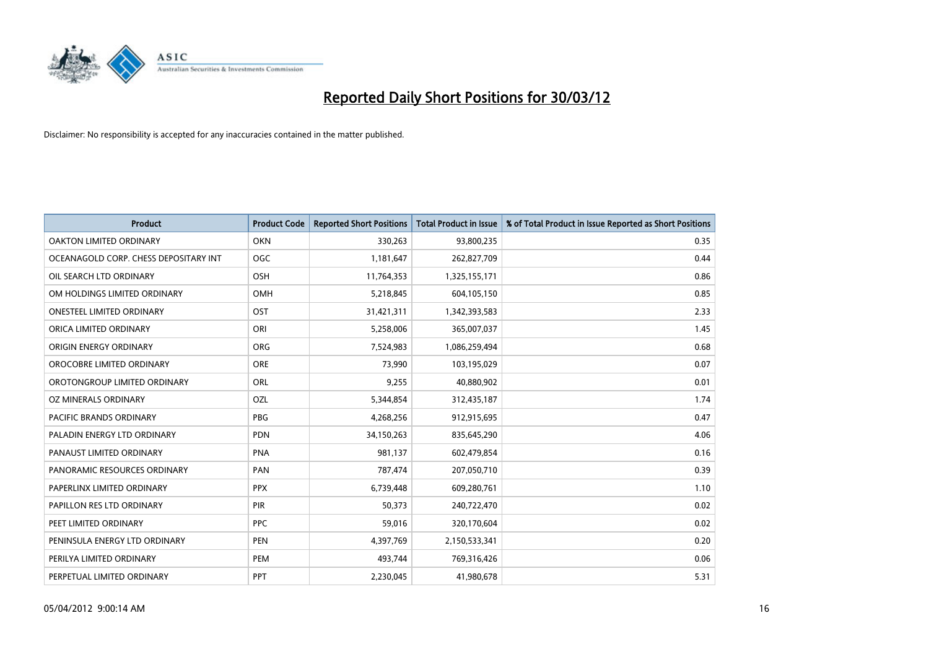

| <b>Product</b>                        | <b>Product Code</b> | <b>Reported Short Positions</b> | <b>Total Product in Issue</b> | % of Total Product in Issue Reported as Short Positions |
|---------------------------------------|---------------------|---------------------------------|-------------------------------|---------------------------------------------------------|
| <b>OAKTON LIMITED ORDINARY</b>        | <b>OKN</b>          | 330,263                         | 93,800,235                    | 0.35                                                    |
| OCEANAGOLD CORP. CHESS DEPOSITARY INT | <b>OGC</b>          | 1,181,647                       | 262,827,709                   | 0.44                                                    |
| OIL SEARCH LTD ORDINARY               | OSH                 | 11,764,353                      | 1,325,155,171                 | 0.86                                                    |
| OM HOLDINGS LIMITED ORDINARY          | OMH                 | 5,218,845                       | 604,105,150                   | 0.85                                                    |
| <b>ONESTEEL LIMITED ORDINARY</b>      | OST                 | 31,421,311                      | 1,342,393,583                 | 2.33                                                    |
| ORICA LIMITED ORDINARY                | ORI                 | 5,258,006                       | 365,007,037                   | 1.45                                                    |
| ORIGIN ENERGY ORDINARY                | <b>ORG</b>          | 7,524,983                       | 1,086,259,494                 | 0.68                                                    |
| OROCOBRE LIMITED ORDINARY             | <b>ORE</b>          | 73,990                          | 103,195,029                   | 0.07                                                    |
| OROTONGROUP LIMITED ORDINARY          | <b>ORL</b>          | 9,255                           | 40,880,902                    | 0.01                                                    |
| <b>OZ MINERALS ORDINARY</b>           | OZL                 | 5,344,854                       | 312,435,187                   | 1.74                                                    |
| PACIFIC BRANDS ORDINARY               | <b>PBG</b>          | 4,268,256                       | 912,915,695                   | 0.47                                                    |
| PALADIN ENERGY LTD ORDINARY           | <b>PDN</b>          | 34,150,263                      | 835,645,290                   | 4.06                                                    |
| PANAUST LIMITED ORDINARY              | <b>PNA</b>          | 981,137                         | 602,479,854                   | 0.16                                                    |
| PANORAMIC RESOURCES ORDINARY          | PAN                 | 787,474                         | 207,050,710                   | 0.39                                                    |
| PAPERLINX LIMITED ORDINARY            | <b>PPX</b>          | 6,739,448                       | 609,280,761                   | 1.10                                                    |
| PAPILLON RES LTD ORDINARY             | PIR                 | 50,373                          | 240,722,470                   | 0.02                                                    |
| PEET LIMITED ORDINARY                 | <b>PPC</b>          | 59,016                          | 320,170,604                   | 0.02                                                    |
| PENINSULA ENERGY LTD ORDINARY         | <b>PEN</b>          | 4,397,769                       | 2,150,533,341                 | 0.20                                                    |
| PERILYA LIMITED ORDINARY              | PEM                 | 493,744                         | 769,316,426                   | 0.06                                                    |
| PERPETUAL LIMITED ORDINARY            | PPT                 | 2,230,045                       | 41,980,678                    | 5.31                                                    |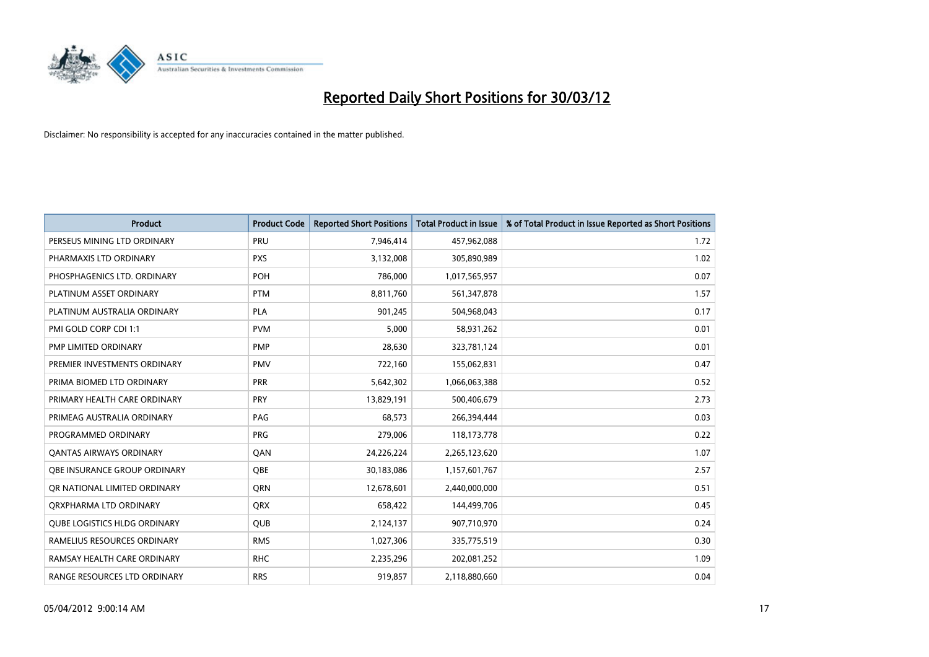

| <b>Product</b>                      | <b>Product Code</b> | <b>Reported Short Positions</b> | <b>Total Product in Issue</b> | % of Total Product in Issue Reported as Short Positions |
|-------------------------------------|---------------------|---------------------------------|-------------------------------|---------------------------------------------------------|
| PERSEUS MINING LTD ORDINARY         | PRU                 | 7,946,414                       | 457,962,088                   | 1.72                                                    |
| PHARMAXIS LTD ORDINARY              | <b>PXS</b>          | 3,132,008                       | 305,890,989                   | 1.02                                                    |
| PHOSPHAGENICS LTD. ORDINARY         | <b>POH</b>          | 786,000                         | 1,017,565,957                 | 0.07                                                    |
| PLATINUM ASSET ORDINARY             | <b>PTM</b>          | 8,811,760                       | 561,347,878                   | 1.57                                                    |
| PLATINUM AUSTRALIA ORDINARY         | <b>PLA</b>          | 901,245                         | 504,968,043                   | 0.17                                                    |
| PMI GOLD CORP CDI 1:1               | <b>PVM</b>          | 5,000                           | 58,931,262                    | 0.01                                                    |
| PMP LIMITED ORDINARY                | <b>PMP</b>          | 28,630                          | 323,781,124                   | 0.01                                                    |
| PREMIER INVESTMENTS ORDINARY        | <b>PMV</b>          | 722,160                         | 155,062,831                   | 0.47                                                    |
| PRIMA BIOMED LTD ORDINARY           | <b>PRR</b>          | 5,642,302                       | 1,066,063,388                 | 0.52                                                    |
| PRIMARY HEALTH CARE ORDINARY        | <b>PRY</b>          | 13,829,191                      | 500,406,679                   | 2.73                                                    |
| PRIMEAG AUSTRALIA ORDINARY          | PAG                 | 68,573                          | 266,394,444                   | 0.03                                                    |
| PROGRAMMED ORDINARY                 | <b>PRG</b>          | 279,006                         | 118,173,778                   | 0.22                                                    |
| <b>QANTAS AIRWAYS ORDINARY</b>      | QAN                 | 24,226,224                      | 2,265,123,620                 | 1.07                                                    |
| OBE INSURANCE GROUP ORDINARY        | OBE                 | 30,183,086                      | 1,157,601,767                 | 2.57                                                    |
| OR NATIONAL LIMITED ORDINARY        | <b>ORN</b>          | 12,678,601                      | 2,440,000,000                 | 0.51                                                    |
| QRXPHARMA LTD ORDINARY              | <b>QRX</b>          | 658,422                         | 144,499,706                   | 0.45                                                    |
| <b>QUBE LOGISTICS HLDG ORDINARY</b> | <b>QUB</b>          | 2,124,137                       | 907,710,970                   | 0.24                                                    |
| RAMELIUS RESOURCES ORDINARY         | <b>RMS</b>          | 1,027,306                       | 335,775,519                   | 0.30                                                    |
| RAMSAY HEALTH CARE ORDINARY         | <b>RHC</b>          | 2,235,296                       | 202,081,252                   | 1.09                                                    |
| RANGE RESOURCES LTD ORDINARY        | <b>RRS</b>          | 919,857                         | 2,118,880,660                 | 0.04                                                    |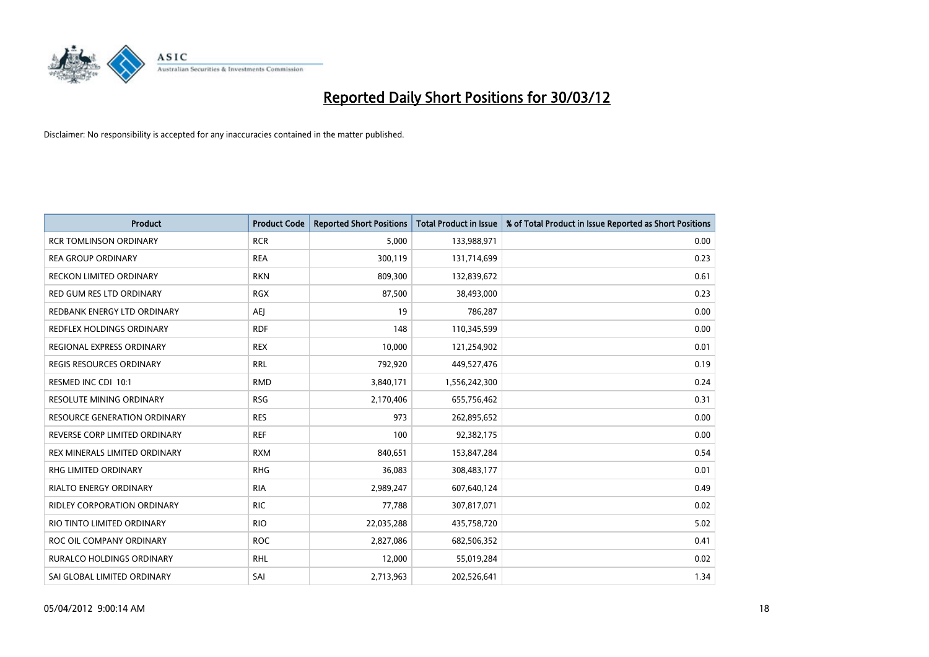

| <b>Product</b>                     | <b>Product Code</b> | <b>Reported Short Positions</b> | <b>Total Product in Issue</b> | % of Total Product in Issue Reported as Short Positions |
|------------------------------------|---------------------|---------------------------------|-------------------------------|---------------------------------------------------------|
| <b>RCR TOMLINSON ORDINARY</b>      | <b>RCR</b>          | 5,000                           | 133,988,971                   | 0.00                                                    |
| <b>REA GROUP ORDINARY</b>          | <b>REA</b>          | 300,119                         | 131,714,699                   | 0.23                                                    |
| RECKON LIMITED ORDINARY            | <b>RKN</b>          | 809,300                         | 132,839,672                   | 0.61                                                    |
| RED GUM RES LTD ORDINARY           | <b>RGX</b>          | 87,500                          | 38,493,000                    | 0.23                                                    |
| REDBANK ENERGY LTD ORDINARY        | <b>AEI</b>          | 19                              | 786,287                       | 0.00                                                    |
| REDFLEX HOLDINGS ORDINARY          | <b>RDF</b>          | 148                             | 110,345,599                   | 0.00                                                    |
| REGIONAL EXPRESS ORDINARY          | <b>REX</b>          | 10,000                          | 121,254,902                   | 0.01                                                    |
| REGIS RESOURCES ORDINARY           | <b>RRL</b>          | 792,920                         | 449,527,476                   | 0.19                                                    |
| RESMED INC CDI 10:1                | <b>RMD</b>          | 3,840,171                       | 1,556,242,300                 | 0.24                                                    |
| <b>RESOLUTE MINING ORDINARY</b>    | <b>RSG</b>          | 2,170,406                       | 655,756,462                   | 0.31                                                    |
| RESOURCE GENERATION ORDINARY       | <b>RES</b>          | 973                             | 262,895,652                   | 0.00                                                    |
| REVERSE CORP LIMITED ORDINARY      | <b>REF</b>          | 100                             | 92,382,175                    | 0.00                                                    |
| REX MINERALS LIMITED ORDINARY      | <b>RXM</b>          | 840,651                         | 153,847,284                   | 0.54                                                    |
| <b>RHG LIMITED ORDINARY</b>        | <b>RHG</b>          | 36,083                          | 308,483,177                   | 0.01                                                    |
| <b>RIALTO ENERGY ORDINARY</b>      | <b>RIA</b>          | 2,989,247                       | 607,640,124                   | 0.49                                                    |
| <b>RIDLEY CORPORATION ORDINARY</b> | <b>RIC</b>          | 77,788                          | 307,817,071                   | 0.02                                                    |
| RIO TINTO LIMITED ORDINARY         | <b>RIO</b>          | 22,035,288                      | 435,758,720                   | 5.02                                                    |
| ROC OIL COMPANY ORDINARY           | <b>ROC</b>          | 2,827,086                       | 682,506,352                   | 0.41                                                    |
| <b>RURALCO HOLDINGS ORDINARY</b>   | <b>RHL</b>          | 12,000                          | 55,019,284                    | 0.02                                                    |
| SAI GLOBAL LIMITED ORDINARY        | SAI                 | 2,713,963                       | 202,526,641                   | 1.34                                                    |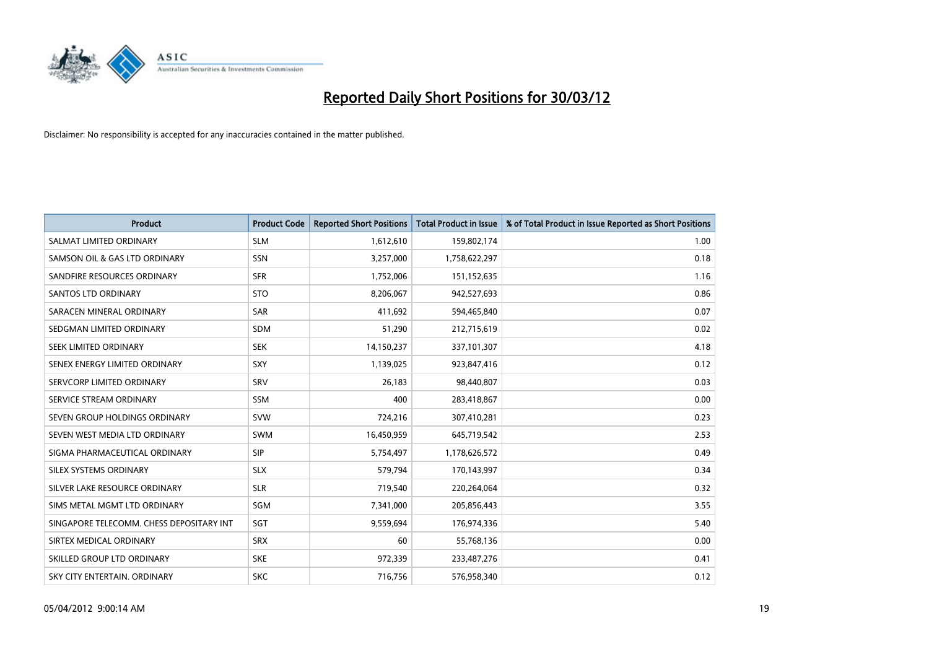

| <b>Product</b>                           | <b>Product Code</b> | <b>Reported Short Positions</b> | <b>Total Product in Issue</b> | % of Total Product in Issue Reported as Short Positions |
|------------------------------------------|---------------------|---------------------------------|-------------------------------|---------------------------------------------------------|
| SALMAT LIMITED ORDINARY                  | <b>SLM</b>          | 1,612,610                       | 159,802,174                   | 1.00                                                    |
| SAMSON OIL & GAS LTD ORDINARY            | <b>SSN</b>          | 3,257,000                       | 1,758,622,297                 | 0.18                                                    |
| SANDFIRE RESOURCES ORDINARY              | <b>SFR</b>          | 1,752,006                       | 151,152,635                   | 1.16                                                    |
| SANTOS LTD ORDINARY                      | <b>STO</b>          | 8,206,067                       | 942,527,693                   | 0.86                                                    |
| SARACEN MINERAL ORDINARY                 | <b>SAR</b>          | 411,692                         | 594,465,840                   | 0.07                                                    |
| SEDGMAN LIMITED ORDINARY                 | <b>SDM</b>          | 51,290                          | 212,715,619                   | 0.02                                                    |
| SEEK LIMITED ORDINARY                    | <b>SEK</b>          | 14,150,237                      | 337,101,307                   | 4.18                                                    |
| SENEX ENERGY LIMITED ORDINARY            | SXY                 | 1,139,025                       | 923,847,416                   | 0.12                                                    |
| SERVCORP LIMITED ORDINARY                | SRV                 | 26,183                          | 98,440,807                    | 0.03                                                    |
| SERVICE STREAM ORDINARY                  | <b>SSM</b>          | 400                             | 283,418,867                   | 0.00                                                    |
| SEVEN GROUP HOLDINGS ORDINARY            | <b>SVW</b>          | 724,216                         | 307,410,281                   | 0.23                                                    |
| SEVEN WEST MEDIA LTD ORDINARY            | SWM                 | 16,450,959                      | 645,719,542                   | 2.53                                                    |
| SIGMA PHARMACEUTICAL ORDINARY            | <b>SIP</b>          | 5,754,497                       | 1,178,626,572                 | 0.49                                                    |
| SILEX SYSTEMS ORDINARY                   | <b>SLX</b>          | 579,794                         | 170,143,997                   | 0.34                                                    |
| SILVER LAKE RESOURCE ORDINARY            | <b>SLR</b>          | 719,540                         | 220,264,064                   | 0.32                                                    |
| SIMS METAL MGMT LTD ORDINARY             | SGM                 | 7,341,000                       | 205,856,443                   | 3.55                                                    |
| SINGAPORE TELECOMM. CHESS DEPOSITARY INT | SGT                 | 9,559,694                       | 176,974,336                   | 5.40                                                    |
| SIRTEX MEDICAL ORDINARY                  | <b>SRX</b>          | 60                              | 55,768,136                    | 0.00                                                    |
| SKILLED GROUP LTD ORDINARY               | <b>SKE</b>          | 972,339                         | 233,487,276                   | 0.41                                                    |
| SKY CITY ENTERTAIN, ORDINARY             | <b>SKC</b>          | 716,756                         | 576,958,340                   | 0.12                                                    |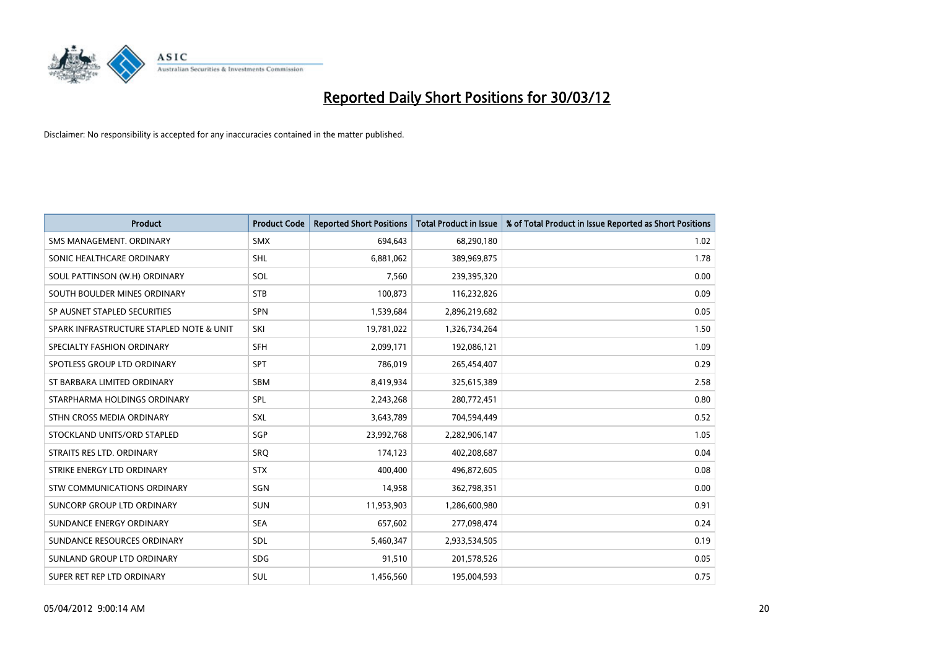

| <b>Product</b>                           | <b>Product Code</b> | <b>Reported Short Positions</b> | <b>Total Product in Issue</b> | % of Total Product in Issue Reported as Short Positions |
|------------------------------------------|---------------------|---------------------------------|-------------------------------|---------------------------------------------------------|
| SMS MANAGEMENT, ORDINARY                 | <b>SMX</b>          | 694,643                         | 68,290,180                    | 1.02                                                    |
| SONIC HEALTHCARE ORDINARY                | <b>SHL</b>          | 6,881,062                       | 389,969,875                   | 1.78                                                    |
| SOUL PATTINSON (W.H) ORDINARY            | SOL                 | 7,560                           | 239,395,320                   | 0.00                                                    |
| SOUTH BOULDER MINES ORDINARY             | <b>STB</b>          | 100,873                         | 116,232,826                   | 0.09                                                    |
| SP AUSNET STAPLED SECURITIES             | <b>SPN</b>          | 1,539,684                       | 2,896,219,682                 | 0.05                                                    |
| SPARK INFRASTRUCTURE STAPLED NOTE & UNIT | SKI                 | 19,781,022                      | 1,326,734,264                 | 1.50                                                    |
| SPECIALTY FASHION ORDINARY               | <b>SFH</b>          | 2,099,171                       | 192,086,121                   | 1.09                                                    |
| SPOTLESS GROUP LTD ORDINARY              | <b>SPT</b>          | 786,019                         | 265,454,407                   | 0.29                                                    |
| ST BARBARA LIMITED ORDINARY              | <b>SBM</b>          | 8,419,934                       | 325,615,389                   | 2.58                                                    |
| STARPHARMA HOLDINGS ORDINARY             | <b>SPL</b>          | 2,243,268                       | 280,772,451                   | 0.80                                                    |
| STHN CROSS MEDIA ORDINARY                | <b>SXL</b>          | 3,643,789                       | 704,594,449                   | 0.52                                                    |
| STOCKLAND UNITS/ORD STAPLED              | SGP                 | 23,992,768                      | 2,282,906,147                 | 1.05                                                    |
| STRAITS RES LTD. ORDINARY                | <b>SRO</b>          | 174,123                         | 402,208,687                   | 0.04                                                    |
| STRIKE ENERGY LTD ORDINARY               | <b>STX</b>          | 400,400                         | 496,872,605                   | 0.08                                                    |
| <b>STW COMMUNICATIONS ORDINARY</b>       | SGN                 | 14,958                          | 362,798,351                   | 0.00                                                    |
| SUNCORP GROUP LTD ORDINARY               | <b>SUN</b>          | 11,953,903                      | 1,286,600,980                 | 0.91                                                    |
| SUNDANCE ENERGY ORDINARY                 | <b>SEA</b>          | 657,602                         | 277,098,474                   | 0.24                                                    |
| SUNDANCE RESOURCES ORDINARY              | <b>SDL</b>          | 5,460,347                       | 2,933,534,505                 | 0.19                                                    |
| SUNLAND GROUP LTD ORDINARY               | <b>SDG</b>          | 91,510                          | 201,578,526                   | 0.05                                                    |
| SUPER RET REP LTD ORDINARY               | <b>SUL</b>          | 1,456,560                       | 195,004,593                   | 0.75                                                    |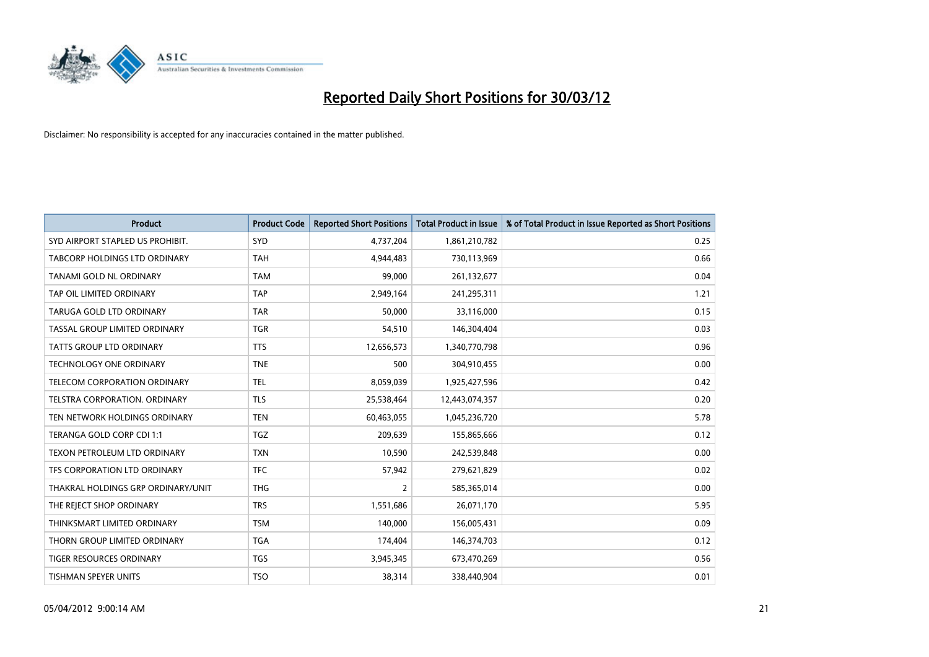

| Product                            | <b>Product Code</b> | <b>Reported Short Positions</b> | <b>Total Product in Issue</b> | % of Total Product in Issue Reported as Short Positions |
|------------------------------------|---------------------|---------------------------------|-------------------------------|---------------------------------------------------------|
| SYD AIRPORT STAPLED US PROHIBIT.   | <b>SYD</b>          | 4,737,204                       | 1,861,210,782                 | 0.25                                                    |
| TABCORP HOLDINGS LTD ORDINARY      | <b>TAH</b>          | 4,944,483                       | 730,113,969                   | 0.66                                                    |
| TANAMI GOLD NL ORDINARY            | <b>TAM</b>          | 99,000                          | 261,132,677                   | 0.04                                                    |
| TAP OIL LIMITED ORDINARY           | <b>TAP</b>          | 2,949,164                       | 241,295,311                   | 1.21                                                    |
| TARUGA GOLD LTD ORDINARY           | <b>TAR</b>          | 50,000                          | 33,116,000                    | 0.15                                                    |
| TASSAL GROUP LIMITED ORDINARY      | <b>TGR</b>          | 54,510                          | 146,304,404                   | 0.03                                                    |
| <b>TATTS GROUP LTD ORDINARY</b>    | <b>TTS</b>          | 12,656,573                      | 1,340,770,798                 | 0.96                                                    |
| TECHNOLOGY ONE ORDINARY            | <b>TNE</b>          | 500                             | 304,910,455                   | 0.00                                                    |
| TELECOM CORPORATION ORDINARY       | <b>TEL</b>          | 8,059,039                       | 1,925,427,596                 | 0.42                                                    |
| TELSTRA CORPORATION, ORDINARY      | <b>TLS</b>          | 25,538,464                      | 12,443,074,357                | 0.20                                                    |
| TEN NETWORK HOLDINGS ORDINARY      | <b>TEN</b>          | 60,463,055                      | 1,045,236,720                 | 5.78                                                    |
| TERANGA GOLD CORP CDI 1:1          | <b>TGZ</b>          | 209,639                         | 155,865,666                   | 0.12                                                    |
| TEXON PETROLEUM LTD ORDINARY       | <b>TXN</b>          | 10,590                          | 242,539,848                   | 0.00                                                    |
| TFS CORPORATION LTD ORDINARY       | <b>TFC</b>          | 57,942                          | 279,621,829                   | 0.02                                                    |
| THAKRAL HOLDINGS GRP ORDINARY/UNIT | <b>THG</b>          | $\overline{2}$                  | 585,365,014                   | 0.00                                                    |
| THE REJECT SHOP ORDINARY           | <b>TRS</b>          | 1,551,686                       | 26,071,170                    | 5.95                                                    |
| THINKSMART LIMITED ORDINARY        | <b>TSM</b>          | 140,000                         | 156,005,431                   | 0.09                                                    |
| THORN GROUP LIMITED ORDINARY       | <b>TGA</b>          | 174,404                         | 146,374,703                   | 0.12                                                    |
| TIGER RESOURCES ORDINARY           | <b>TGS</b>          | 3,945,345                       | 673,470,269                   | 0.56                                                    |
| TISHMAN SPEYER UNITS               | <b>TSO</b>          | 38,314                          | 338,440,904                   | 0.01                                                    |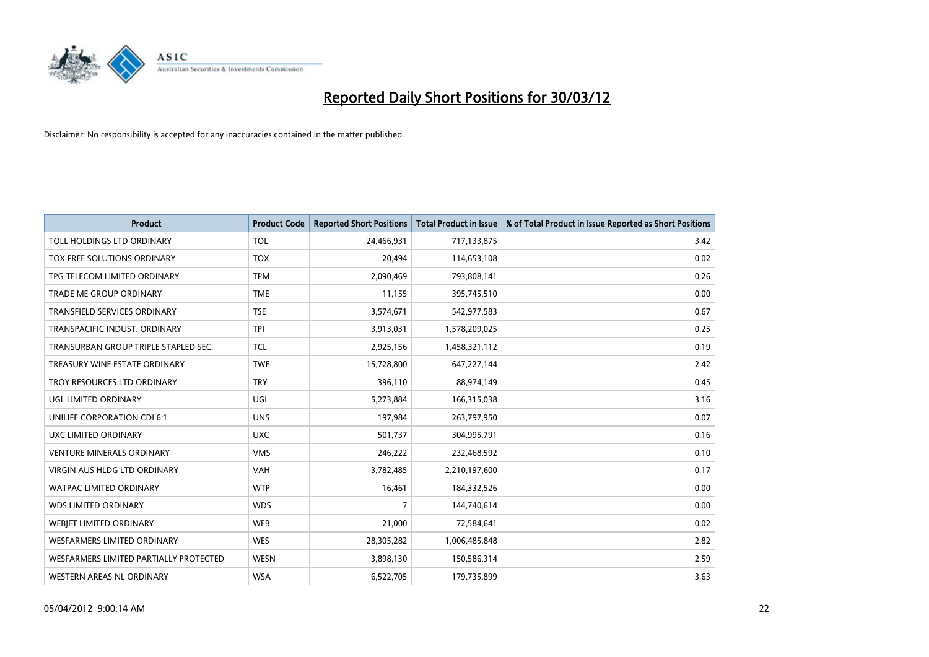

| <b>Product</b>                         | <b>Product Code</b> | <b>Reported Short Positions</b> | <b>Total Product in Issue</b> | % of Total Product in Issue Reported as Short Positions |
|----------------------------------------|---------------------|---------------------------------|-------------------------------|---------------------------------------------------------|
| TOLL HOLDINGS LTD ORDINARY             | <b>TOL</b>          | 24,466,931                      | 717,133,875                   | 3.42                                                    |
| TOX FREE SOLUTIONS ORDINARY            | <b>TOX</b>          | 20,494                          | 114,653,108                   | 0.02                                                    |
| TPG TELECOM LIMITED ORDINARY           | <b>TPM</b>          | 2,090,469                       | 793,808,141                   | 0.26                                                    |
| TRADE ME GROUP ORDINARY                | <b>TME</b>          | 11,155                          | 395,745,510                   | 0.00                                                    |
| <b>TRANSFIELD SERVICES ORDINARY</b>    | <b>TSE</b>          | 3,574,671                       | 542,977,583                   | 0.67                                                    |
| TRANSPACIFIC INDUST, ORDINARY          | <b>TPI</b>          | 3,913,031                       | 1,578,209,025                 | 0.25                                                    |
| TRANSURBAN GROUP TRIPLE STAPLED SEC.   | <b>TCL</b>          | 2,925,156                       | 1,458,321,112                 | 0.19                                                    |
| TREASURY WINE ESTATE ORDINARY          | <b>TWE</b>          | 15,728,800                      | 647,227,144                   | 2.42                                                    |
| TROY RESOURCES LTD ORDINARY            | <b>TRY</b>          | 396,110                         | 88,974,149                    | 0.45                                                    |
| <b>UGL LIMITED ORDINARY</b>            | UGL                 | 5,273,884                       | 166,315,038                   | 3.16                                                    |
| UNILIFE CORPORATION CDI 6:1            | <b>UNS</b>          | 197,984                         | 263,797,950                   | 0.07                                                    |
| UXC LIMITED ORDINARY                   | <b>UXC</b>          | 501,737                         | 304,995,791                   | 0.16                                                    |
| <b>VENTURE MINERALS ORDINARY</b>       | <b>VMS</b>          | 246,222                         | 232,468,592                   | 0.10                                                    |
| <b>VIRGIN AUS HLDG LTD ORDINARY</b>    | <b>VAH</b>          | 3,782,485                       | 2,210,197,600                 | 0.17                                                    |
| <b>WATPAC LIMITED ORDINARY</b>         | <b>WTP</b>          | 16,461                          | 184,332,526                   | 0.00                                                    |
| <b>WDS LIMITED ORDINARY</b>            | <b>WDS</b>          | $\overline{7}$                  | 144,740,614                   | 0.00                                                    |
| <b>WEBJET LIMITED ORDINARY</b>         | <b>WEB</b>          | 21,000                          | 72,584,641                    | 0.02                                                    |
| <b>WESFARMERS LIMITED ORDINARY</b>     | <b>WES</b>          | 28,305,282                      | 1,006,485,848                 | 2.82                                                    |
| WESFARMERS LIMITED PARTIALLY PROTECTED | <b>WESN</b>         | 3,898,130                       | 150,586,314                   | 2.59                                                    |
| WESTERN AREAS NL ORDINARY              | <b>WSA</b>          | 6,522,705                       | 179,735,899                   | 3.63                                                    |